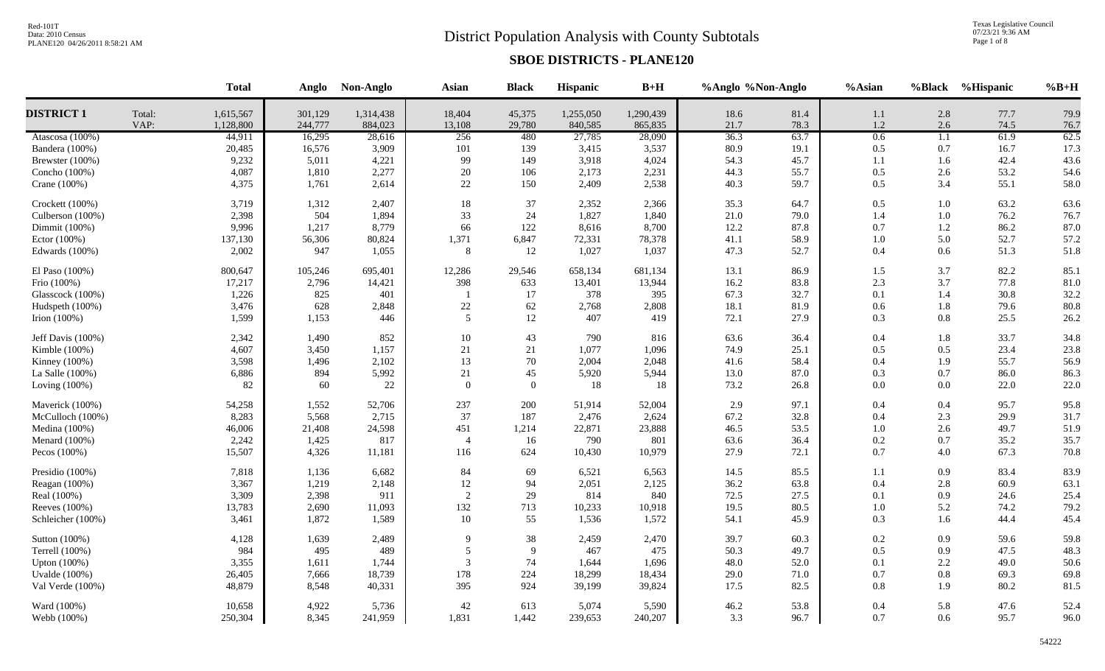# District Population Analysis with County Subtotals

Texas Legislative Council<br>07/23/21 9:36 AM<br>Page 1 of 8

|                      |                | <b>Total</b>           |                    | Anglo Non-Anglo      | Asian            | <b>Black</b>     | Hispanic             | $B+H$                | %Anglo %Non-Anglo |              | %Asian     |            | %Black %Hispanic | $%B+H$       |
|----------------------|----------------|------------------------|--------------------|----------------------|------------------|------------------|----------------------|----------------------|-------------------|--------------|------------|------------|------------------|--------------|
| <b>DISTRICT 1</b>    | Total:<br>VAP: | 1,615,567<br>1,128,800 | 301,129<br>244,777 | 1,314,438<br>884,023 | 18,404<br>13,108 | 45,375<br>29,780 | 1,255,050<br>840,585 | 1,290,439<br>865,835 | 18.6<br>21.7      | 81.4<br>78.3 | 1.1<br>1.2 | 2.8<br>2.6 | 77.7<br>74.5     | 79.9<br>76.7 |
| Atascosa $(100\%)$   |                | 44,911                 | 16,295             | 28,616               | 256              | 480              | 27,785               | 28,090               | 36.3              | 63.7         | 0.6        | 1.1        | 61.9             | 62.5         |
| Bandera (100%)       |                | 20,485                 | 16,576             | 3,909                | 101              | 139              | 3,415                | 3,537                | 80.9              | 19.1         | 0.5        | 0.7        | 16.7             | 17.3         |
| Brewster (100%)      |                | 9,232                  | 5,011              | 4,221                | 99               | 149              | 3,918                | 4,024                | 54.3              | 45.7         | 1.1        | 1.6        | 42.4             | 43.6         |
| Concho (100%)        |                | 4,087                  | 1,810              | 2,277                | 20               | 106              | 2,173                | 2,231                | 44.3              | 55.7         | 0.5        | 2.6        | 53.2             | 54.6         |
| Crane (100%)         |                | 4,375                  | 1,761              | 2,614                | 22               | 150              | 2,409                | 2,538                | 40.3              | 59.7         | 0.5        | 3.4        | 55.1             | 58.0         |
| Crockett (100%)      |                | 3,719                  | 1,312              | 2,407                | 18               | 37               | 2,352                | 2,366                | 35.3              | 64.7         | 0.5        | 1.0        | 63.2             | 63.6         |
| Culberson (100%)     |                | 2,398                  | 504                | 1,894                | 33               | 24               | 1,827                | 1,840                | 21.0              | 79.0         | 1.4        | $1.0\,$    | 76.2             | 76.7         |
| Dimmit (100%)        |                | 9,996                  | 1,217              | 8,779                | 66               | 122              | 8,616                | 8,700                | 12.2              | 87.8         | 0.7        | 1.2        | 86.2             | 87.0         |
| Ector $(100\%)$      |                | 137,130                | 56,306             | 80,824               | 1,371            | 6,847            | 72,331               | 78,378               | 41.1              | 58.9         | 1.0        | 5.0        | 52.7             | 57.2         |
| Edwards $(100\%)$    |                | 2,002                  | 947                | 1,055                | 8                | 12               | 1,027                | 1,037                | 47.3              | 52.7         | 0.4        | 0.6        | 51.3             | 51.8         |
| El Paso (100%)       |                | 800,647                | 105,246            | 695,401              | 12,286           | 29,546           | 658,134              | 681,134              | 13.1              | 86.9         | 1.5        | 3.7        | 82.2             | 85.1         |
| Frio (100%)          |                | 17,217                 | 2,796              | 14,421               | 398              | 633              | 13,401               | 13,944               | 16.2              | 83.8         | 2.3        | 3.7        | 77.8             | 81.0         |
| Glasscock (100%)     |                | 1,226                  | 825                | 401                  | $\overline{1}$   | 17               | 378                  | 395                  | 67.3              | 32.7         | 0.1        | 1.4        | 30.8             | 32.2         |
| Hudspeth (100%)      |                | 3,476                  | 628                | 2,848                | 22               | 62               | 2,768                | 2,808                | 18.1              | 81.9         | 0.6        | 1.8        | 79.6             | 80.8         |
| Irion $(100\%)$      |                | 1,599                  | 1,153              | 446                  | 5                | 12               | 407                  | 419                  | 72.1              | 27.9         | 0.3        | 0.8        | 25.5             | 26.2         |
| Jeff Davis $(100\%)$ |                | 2,342                  | 1,490              | 852                  | 10               | 43               | 790                  | 816                  | 63.6              | 36.4         | 0.4        | 1.8        | 33.7             | 34.8         |
| Kimble (100%)        |                | 4,607                  | 3,450              | 1,157                | 21               | $21\,$           | 1,077                | 1,096                | 74.9              | 25.1         | 0.5        | 0.5        | 23.4             | 23.8         |
| Kinney (100%)        |                | 3,598                  | 1,496              | 2,102                | 13               | 70               | 2,004                | 2,048                | 41.6              | 58.4         | 0.4        | 1.9        | 55.7             | 56.9         |
| La Salle (100%)      |                | 6,886                  | 894                | 5,992                | $21\,$           | 45               | 5,920                | 5,944                | 13.0              | 87.0         | 0.3        | 0.7        | 86.0             | 86.3         |
| Loving $(100\%)$     |                | 82                     | 60                 | 22                   | $\overline{0}$   | $\mathbf{0}$     | 18                   | 18                   | 73.2              | 26.8         | 0.0        | $0.0\,$    | 22.0             | 22.0         |
| Maverick (100%)      |                | 54,258                 | 1,552              | 52,706               | 237              | 200              | 51,914               | 52,004               | 2.9               | 97.1         | 0.4        | 0.4        | 95.7             | 95.8         |
| McCulloch (100%)     |                | 8,283                  | 5,568              | 2,715                | 37               | 187              | 2,476                | 2,624                | 67.2              | 32.8         | 0.4        | 2.3        | 29.9             | 31.7         |
| Medina $(100\%)$     |                | 46,006                 | 21,408             | 24,598               | 451              | 1,214            | 22,871               | 23,888               | 46.5              | 53.5         | 1.0        | 2.6        | 49.7             | 51.9         |
| Menard (100%)        |                | 2,242                  | 1,425              | 817                  | $\overline{4}$   | 16               | 790                  | 801                  | 63.6              | 36.4         | 0.2        | 0.7        | 35.2             | 35.7         |
| Pecos $(100\%)$      |                | 15,507                 | 4,326              | 11,181               | 116              | 624              | 10,430               | 10,979               | 27.9              | 72.1         | 0.7        | 4.0        | 67.3             | 70.8         |
| Presidio (100%)      |                | 7,818                  | 1,136              | 6,682                | 84               | 69               | 6,521                | 6,563                | 14.5              | 85.5         | 1.1        | 0.9        | 83.4             | 83.9         |
| Reagan (100%)        |                | 3,367                  | 1,219              | 2,148                | 12               | 94               | 2,051                | 2,125                | 36.2              | 63.8         | 0.4        | 2.8        | 60.9             | 63.1         |
| Real (100%)          |                | 3,309                  | 2,398              | 911                  | $\overline{2}$   | 29               | 814                  | 840                  | 72.5              | 27.5         | 0.1        | 0.9        | 24.6             | 25.4         |
| Reeves (100%)        |                | 13,783                 | 2,690              | 11,093               | 132              | 713              | 10,233               | 10,918               | 19.5              | 80.5         | 1.0        | 5.2        | 74.2             | 79.2         |
| Schleicher (100%)    |                | 3,461                  | 1,872              | 1,589                | 10               | 55               | 1,536                | 1,572                | 54.1              | 45.9         | 0.3        | 1.6        | 44.4             | 45.4         |
| Sutton (100%)        |                | 4,128                  | 1,639              | 2,489                | $\mathbf Q$      | 38               | 2,459                | 2,470                | 39.7              | 60.3         | 0.2        | 0.9        | 59.6             | 59.8         |
| Terrell (100%)       |                | 984                    | 495                | 489                  | 5                | 9                | 467                  | 475                  | 50.3              | 49.7         | 0.5        | 0.9        | 47.5             | 48.3         |
| Upton $(100\%)$      |                | 3,355                  | 1,611              | 1,744                | 3                | 74               | 1,644                | 1,696                | 48.0              | 52.0         | 0.1        | 2.2        | 49.0             | 50.6         |
| <b>Uvalde</b> (100%) |                | 26,405                 | 7,666              | 18,739               | 178              | 224              | 18,299               | 18,434               | 29.0              | 71.0         | 0.7        | 0.8        | 69.3             | 69.8         |
| Val Verde (100%)     |                | 48,879                 | 8,548              | 40,331               | 395              | 924              | 39,199               | 39,824               | 17.5              | 82.5         | 0.8        | 1.9        | 80.2             | 81.5         |
| Ward (100%)          |                | 10,658                 | 4,922              | 5,736                | 42               | 613              | 5,074                | 5,590                | 46.2              | 53.8         | 0.4        | 5.8        | 47.6             | 52.4         |
| Webb (100%)          |                | 250,304                | 8,345              | 241,959              | 1,831            | 1,442            | 239,653              | 240,207              | 3.3               | 96.7         | 0.7        | 0.6        | 95.7             | 96.0         |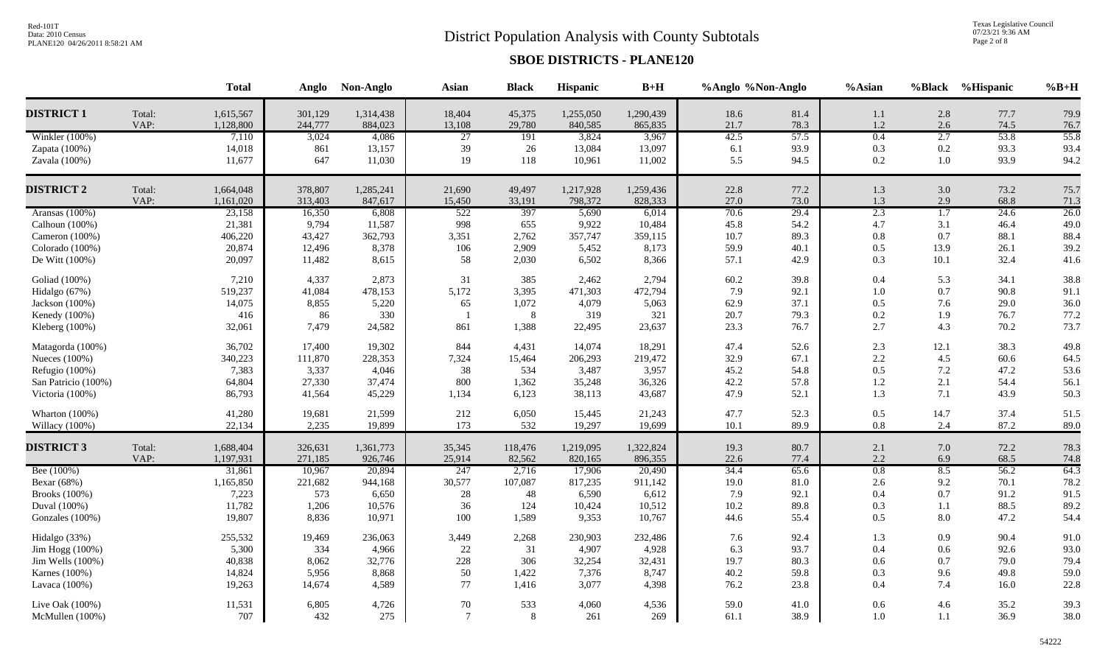# District Population Analysis with County Subtotals

Texas Legislative Council<br>07/23/21 9:36 AM<br>Page 2 of 8

|                     |        | <b>Total</b> | Anglo   | Non-Anglo | <b>Asian</b>    | <b>Black</b> | Hispanic  | $B+H$     | %Anglo %Non-Anglo |      | %Asian  |                  | %Black %Hispanic | $%B+H$ |
|---------------------|--------|--------------|---------|-----------|-----------------|--------------|-----------|-----------|-------------------|------|---------|------------------|------------------|--------|
| <b>DISTRICT 1</b>   | Total: | 1,615,567    | 301,129 | 1,314,438 | 18,404          | 45,375       | 1,255,050 | 1,290,439 | 18.6              | 81.4 | 1.1     | 2.8              | 77.7             | 79.9   |
|                     | VAP:   | 1,128,800    | 244,777 | 884,023   | 13,108          | 29,780       | 840,585   | 865,835   | 21.7              | 78.3 | $1.2\,$ | 2.6              | 74.5             | 76.7   |
| Winkler (100%)      |        | 7,110        | 3,024   | 4,086     | $\overline{27}$ | 191          | 3,824     | 3,967     | 42.5              | 57.5 | 0.4     | 2.7              | 53.8             | 55.8   |
| Zapata (100%)       |        | 14,018       | 861     | 13,157    | 39              | 26           | 13,084    | 13,097    | 6.1               | 93.9 | 0.3     | 0.2              | 93.3             | 93.4   |
| Zavala (100%)       |        | 11,677       | 647     | 11,030    | 19              | 118          | 10,961    | 11,002    | 5.5               | 94.5 | $0.2\,$ | 1.0              | 93.9             | 94.2   |
| <b>DISTRICT 2</b>   | Total: | 1,664,048    | 378,807 | 1,285,241 | 21,690          | 49,497       | 1,217,928 | 1,259,436 | 22.8              | 77.2 | $1.3\,$ | 3.0              | 73.2             | 75.7   |
|                     | VAP:   | 1,161,020    | 313,403 | 847,617   | 15,450          | 33,191       | 798,372   | 828,333   | 27.0              | 73.0 | 1.3     | 2.9              | 68.8             | 71.3   |
| Aransas (100%)      |        | 23,158       | 16,350  | 6,808     | 522             | 397          | 5,690     | 6,014     | 70.6              | 29.4 | 2.3     | $\overline{1.7}$ | 24.6             | 26.0   |
| Calhoun $(100%)$    |        | 21,381       | 9,794   | 11,587    | 998             | 655          | 9,922     | 10,484    | 45.8              | 54.2 | 4.7     | 3.1              | 46.4             | 49.0   |
| Cameron (100%)      |        | 406,220      | 43,427  | 362,793   | 3,351           | 2,762        | 357,747   | 359,115   | 10.7              | 89.3 | $0.8\,$ | 0.7              | 88.1             | 88.4   |
| Colorado (100%)     |        | 20,874       | 12,496  | 8,378     | 106             | 2,909        | 5,452     | 8,173     | 59.9              | 40.1 | 0.5     | 13.9             | 26.1             | 39.2   |
| De Witt (100%)      |        | 20,097       | 11,482  | 8,615     | 58              | 2,030        | 6,502     | 8,366     | 57.1              | 42.9 | 0.3     | 10.1             | 32.4             | 41.6   |
| Goliad (100%)       |        | 7,210        | 4,337   | 2,873     | 31              | 385          | 2,462     | 2,794     | 60.2              | 39.8 | 0.4     | 5.3              | 34.1             | 38.8   |
| Hidalgo (67%)       |        | 519,237      | 41,084  | 478,153   | 5,172           | 3,395        | 471,303   | 472,794   | 7.9               | 92.1 | $1.0\,$ | 0.7              | 90.8             | 91.1   |
| Jackson (100%)      |        | 14,075       | 8,855   | 5,220     | 65              | 1,072        | 4,079     | 5,063     | 62.9              | 37.1 | 0.5     | 7.6              | 29.0             | 36.0   |
| Kenedy (100%)       |        | 416          | 86      | 330       | - 1             | 8            | 319       | 321       | 20.7              | 79.3 | $0.2\,$ | 1.9              | 76.7             | 77.2   |
| Kleberg (100%)      |        | 32,061       | 7,479   | 24,582    | 861             | 1,388        | 22,495    | 23,637    | 23.3              | 76.7 | 2.7     | 4.3              | 70.2             | 73.7   |
| Matagorda (100%)    |        | 36,702       | 17,400  | 19,302    | 844             | 4,431        | 14,074    | 18,291    | 47.4              | 52.6 | 2.3     | 12.1             | 38.3             | 49.8   |
| Nueces (100%)       |        | 340,223      | 111,870 | 228,353   | 7,324           | 15,464       | 206,293   | 219,472   | 32.9              | 67.1 | 2.2     | 4.5              | 60.6             | 64.5   |
| Refugio (100%)      |        | 7,383        | 3,337   | 4,046     | 38              | 534          | 3,487     | 3,957     | 45.2              | 54.8 | 0.5     | 7.2              | 47.2             | 53.6   |
| San Patricio (100%) |        | 64,804       | 27,330  | 37,474    | 800             | 1,362        | 35,248    | 36,326    | 42.2              | 57.8 | 1.2     | 2.1              | 54.4             | 56.1   |
| Victoria (100%)     |        | 86,793       | 41,564  | 45,229    | 1,134           | 6,123        | 38,113    | 43,687    | 47.9              | 52.1 | 1.3     | 7.1              | 43.9             | 50.3   |
| Wharton (100%)      |        | 41,280       | 19,681  | 21,599    | 212             | 6,050        | 15,445    | 21,243    | 47.7              | 52.3 | 0.5     | 14.7             | 37.4             | 51.5   |
| Willacy (100%)      |        | 22,134       | 2,235   | 19,899    | 173             | 532          | 19,297    | 19,699    | 10.1              | 89.9 | 0.8     | 2.4              | 87.2             | 89.0   |
| <b>DISTRICT 3</b>   | Total: | 1,688,404    | 326,631 | 1,361,773 | 35,345          | 118,476      | 1,219,095 | 1,322,824 | 19.3              | 80.7 | 2.1     | 7.0              | 72.2             | 78.3   |
|                     | VAP:   | 1,197,931    | 271,185 | 926,746   | 25,914          | 82,562       | 820,165   | 896,355   | 22.6              | 77.4 | 2.2     | 6.9              | 68.5             | 74.8   |
| Bee (100%)          |        | 31,861       | 10,967  | 20,894    | 247             | 2,716        | 17,906    | 20,490    | 34.4              | 65.6 | 0.8     | 8.5              | 56.2             | 64.3   |
| Bexar (68%)         |        | 1,165,850    | 221,682 | 944,168   | 30,577          | 107,087      | 817,235   | 911,142   | 19.0              | 81.0 | 2.6     | 9.2              | 70.1             | 78.2   |
| Brooks (100%)       |        | 7,223        | 573     | 6,650     | 28              | 48           | 6,590     | 6,612     | 7.9               | 92.1 | 0.4     | 0.7              | 91.2             | 91.5   |
| Duval (100%)        |        | 11,782       | 1,206   | 10,576    | 36              | 124          | 10,424    | 10,512    | 10.2              | 89.8 | 0.3     | 1.1              | 88.5             | 89.2   |
| Gonzales (100%)     |        | 19,807       | 8,836   | 10,971    | 100             | 1,589        | 9,353     | 10,767    | 44.6              | 55.4 | 0.5     | 8.0              | 47.2             | 54.4   |
| Hidalgo (33%)       |        | 255,532      | 19,469  | 236,063   | 3,449           | 2,268        | 230,903   | 232,486   | 7.6               | 92.4 | 1.3     | 0.9              | 90.4             | 91.0   |
| Jim Hogg (100%)     |        | 5,300        | 334     | 4,966     | 22              | 31           | 4,907     | 4,928     | 6.3               | 93.7 | 0.4     | 0.6              | 92.6             | 93.0   |
| Jim Wells (100%)    |        | 40,838       | 8,062   | 32,776    | 228             | 306          | 32,254    | 32,431    | 19.7              | 80.3 | 0.6     | 0.7              | 79.0             | 79.4   |
| Karnes (100%)       |        | 14,824       | 5,956   | 8,868     | 50              | 1,422        | 7,376     | 8,747     | 40.2              | 59.8 | 0.3     | 9.6              | 49.8             | 59.0   |
| Lavaca (100%)       |        | 19,263       | 14,674  | 4,589     | 77              | 1,416        | 3,077     | 4,398     | 76.2              | 23.8 | 0.4     | 7.4              | 16.0             | 22.8   |
| Live Oak (100%)     |        | 11,531       | 6,805   | 4,726     | 70              | 533          | 4,060     | 4,536     | 59.0              | 41.0 | 0.6     | 4.6              | 35.2             | 39.3   |
| McMullen (100%)     |        | 707          | 432     | 275       | $\overline{7}$  | 8            | 261       | 269       | 61.1              | 38.9 | 1.0     | 1.1              | 36.9             | 38.0   |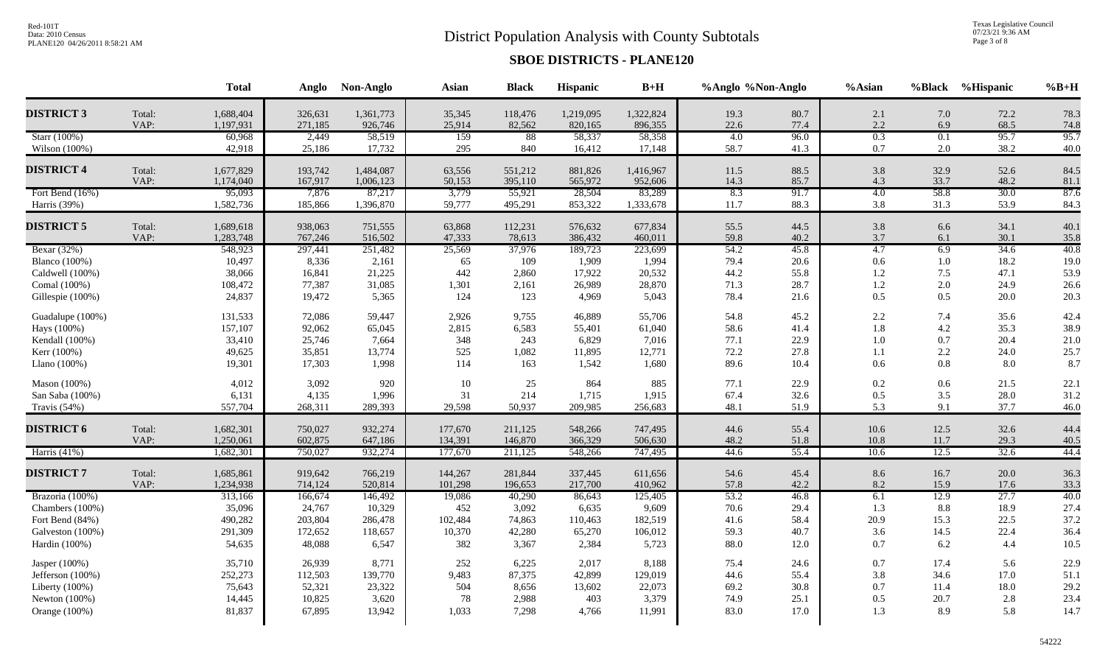# District Population Analysis with County Subtotals

Texas Legislative Council<br>07/23/21 9:36 AM<br>Page 3 of 8

|                      |        | <b>Total</b> | Anglo   | Non-Anglo | <b>Asian</b> | <b>Black</b> | Hispanic  | $B+H$     | %Anglo %Non-Anglo |      | %Asian  |         | %Black %Hispanic | $%B+H$ |
|----------------------|--------|--------------|---------|-----------|--------------|--------------|-----------|-----------|-------------------|------|---------|---------|------------------|--------|
| <b>DISTRICT 3</b>    | Total: | 1,688,404    | 326,631 | 1,361,773 | 35,345       | 118,476      | 1,219,095 | 1,322,824 | 19.3              | 80.7 | 2.1     | 7.0     | 72.2             | 78.3   |
|                      | VAP:   | 1,197,931    | 271,185 | 926,746   | 25,914       | 82,562       | 820,165   | 896,355   | 22.6              | 77.4 | 2.2     | 6.9     | 68.5             | 74.8   |
| Starr (100%)         |        | 60,968       | 2,449   | 58,519    | 159          | 88           | 58,337    | 58,358    | 4.0               | 96.0 | 0.3     | 0.1     | 95.7             | 95.7   |
| Wilson (100%)        |        | 42,918       | 25,186  | 17,732    | 295          | 840          | 16,412    | 17,148    | 58.7              | 41.3 | $0.7\,$ | 2.0     | 38.2             | 40.0   |
| <b>DISTRICT 4</b>    | Total: | 1,677,829    | 193,742 | 1,484,087 | 63,556       | 551,212      | 881,826   | 1,416,967 | 11.5              | 88.5 | 3.8     | 32.9    | 52.6             | 84.5   |
|                      | VAP:   | 1,174,040    | 167,917 | 1,006,123 | 50,153       | 395,110      | 565,972   | 952,606   | 14.3              | 85.7 | 4.3     | 33.7    | 48.2             | 81.1   |
| Fort Bend (16%)      |        | 95,093       | 7,876   | 87,217    | 3,779        | 55,921       | 28,504    | 83,289    | 8.3               | 91.7 | 4.0     | 58.8    | 30.0             | 87.6   |
| Harris (39%)         |        | 1,582,736    | 185,866 | 1,396,870 | 59,777       | 495,291      | 853,322   | 1,333,678 | 11.7              | 88.3 | 3.8     | 31.3    | 53.9             | 84.3   |
| <b>DISTRICT 5</b>    | Total: | 1,689,618    | 938,063 | 751,555   | 63,868       | 112,231      | 576,632   | 677,834   | 55.5              | 44.5 | 3.8     | 6.6     | 34.1             | 40.1   |
|                      | VAP:   | 1,283,748    | 767,246 | 516,502   | 47,333       | 78,613       | 386,432   | 460,011   | 59.8              | 40.2 | $3.7$   | 6.1     | 30.1             | 35.8   |
| Bexar (32%)          |        | 548,923      | 297,441 | 251,482   | 25,569       | 37,976       | 189,723   | 223,699   | 54.2              | 45.8 | 4.7     | 6.9     | 34.6             | 40.8   |
| <b>Blanco</b> (100%) |        | 10,497       | 8,336   | 2,161     | 65           | 109          | 1,909     | 1,994     | 79.4              | 20.6 | 0.6     | $1.0\,$ | 18.2             | 19.0   |
| Caldwell (100%)      |        | 38,066       | 16,841  | 21,225    | 442          | 2,860        | 17,922    | 20,532    | 44.2              | 55.8 | 1.2     | 7.5     | 47.1             | 53.9   |
| Comal (100%)         |        | 108,472      | 77,387  | 31,085    | 1,301        | 2,161        | 26,989    | 28,870    | 71.3              | 28.7 | 1.2     | 2.0     | 24.9             | 26.6   |
| Gillespie (100%)     |        | 24,837       | 19,472  | 5,365     | 124          | 123          | 4,969     | 5,043     | 78.4              | 21.6 | 0.5     | 0.5     | 20.0             | 20.3   |
| Guadalupe (100%)     |        | 131,533      | 72,086  | 59,447    | 2,926        | 9,755        | 46,889    | 55,706    | 54.8              | 45.2 | 2.2     | 7.4     | 35.6             | 42.4   |
| Hays (100%)          |        | 157,107      | 92,062  | 65,045    | 2,815        | 6,583        | 55,401    | 61,040    | 58.6              | 41.4 | 1.8     | 4.2     | 35.3             | 38.9   |
| Kendall (100%)       |        | 33,410       | 25,746  | 7,664     | 348          | 243          | 6,829     | 7,016     | 77.1              | 22.9 | $1.0\,$ | 0.7     | 20.4             | 21.0   |
| Kerr (100%)          |        | 49,625       | 35,851  | 13,774    | 525          | 1,082        | 11,895    | 12,771    | 72.2              | 27.8 | 1.1     | 2.2     | 24.0             | 25.7   |
| Llano $(100\%)$      |        | 19,301       | 17,303  | 1,998     | 114          | 163          | 1,542     | 1,680     | 89.6              | 10.4 | 0.6     | 0.8     | 8.0              | 8.7    |
| Mason (100%)         |        | 4,012        | 3,092   | 920       | 10           | 25           | 864       | 885       | 77.1              | 22.9 | 0.2     | $0.6\,$ | 21.5             | 22.1   |
| San Saba (100%)      |        | 6,131        | 4,135   | 1,996     | 31           | 214          | 1,715     | 1,915     | 67.4              | 32.6 | 0.5     | 3.5     | 28.0             | 31.2   |
| Travis (54%)         |        | 557,704      | 268,311 | 289,393   | 29,598       | 50,937       | 209,985   | 256,683   | 48.1              | 51.9 | 5.3     | 9.1     | 37.7             | 46.0   |
| <b>DISTRICT 6</b>    | Total: | 1,682,301    | 750,027 | 932,274   | 177,670      | 211,125      | 548,266   | 747,495   | 44.6              | 55.4 | 10.6    | 12.5    | 32.6             | 44.4   |
|                      | VAP:   | 1,250,061    | 602,875 | 647,186   | 134,391      | 146,870      | 366,329   | 506,630   | 48.2              | 51.8 | 10.8    | 11.7    | 29.3             | 40.5   |
| Harris $(41%)$       |        | 1,682,301    | 750,027 | 932,274   | 177,670      | 211,125      | 548,266   | 747,495   | 44.6              | 55.4 | 10.6    | 12.5    | 32.6             | 44.4   |
| <b>DISTRICT 7</b>    | Total: | 1,685,861    | 919,642 | 766,219   | 144,267      | 281,844      | 337,445   | 611,656   | 54.6              | 45.4 | 8.6     | 16.7    | 20.0             | 36.3   |
|                      | VAP:   | 1,234,938    | 714,124 | 520,814   | 101,298      | 196,653      | 217,700   | 410,962   | 57.8              | 42.2 | 8.2     | 15.9    | 17.6             | 33.3   |
| Brazoria (100%)      |        | 313,166      | 166,674 | 146,492   | 19,086       | 40,290       | 86,643    | 125,405   | 53.2              | 46.8 | 6.1     | 12.9    | 27.7             | 40.0   |
| Chambers (100%)      |        | 35,096       | 24,767  | 10,329    | 452          | 3,092        | 6,635     | 9,609     | 70.6              | 29.4 | 1.3     | 8.8     | 18.9             | 27.4   |
| Fort Bend (84%)      |        | 490,282      | 203,804 | 286,478   | 102,484      | 74,863       | 110,463   | 182,519   | 41.6              | 58.4 | 20.9    | 15.3    | 22.5             | 37.2   |
| Galveston (100%)     |        | 291,309      | 172,652 | 118,657   | 10,370       | 42,280       | 65,270    | 106,012   | 59.3              | 40.7 | 3.6     | 14.5    | 22.4             | 36.4   |
| Hardin (100%)        |        | 54,635       | 48,088  | 6,547     | 382          | 3,367        | 2,384     | 5,723     | 88.0              | 12.0 | $0.7\,$ | 6.2     | 4.4              | 10.5   |
| Jasper (100%)        |        | 35,710       | 26,939  | 8,771     | 252          | 6,225        | 2,017     | 8,188     | 75.4              | 24.6 | $0.7\,$ | 17.4    | 5.6              | 22.9   |
| Jefferson (100%)     |        | 252,273      | 112,503 | 139,770   | 9,483        | 87,375       | 42,899    | 129,019   | 44.6              | 55.4 | 3.8     | 34.6    | 17.0             | 51.1   |
| Liberty (100%)       |        | 75,643       | 52,321  | 23,322    | 504          | 8,656        | 13,602    | 22,073    | 69.2              | 30.8 | 0.7     | 11.4    | 18.0             | 29.2   |
| Newton (100%)        |        | 14,445       | 10,825  | 3,620     | 78           | 2,988        | 403       | 3,379     | 74.9              | 25.1 | $0.5\,$ | 20.7    | $2.8\,$          | 23.4   |
| Orange (100%)        |        | 81,837       | 67,895  | 13,942    | 1,033        | 7,298        | 4,766     | 11,991    | 83.0              | 17.0 | 1.3     | 8.9     | 5.8              | 14.7   |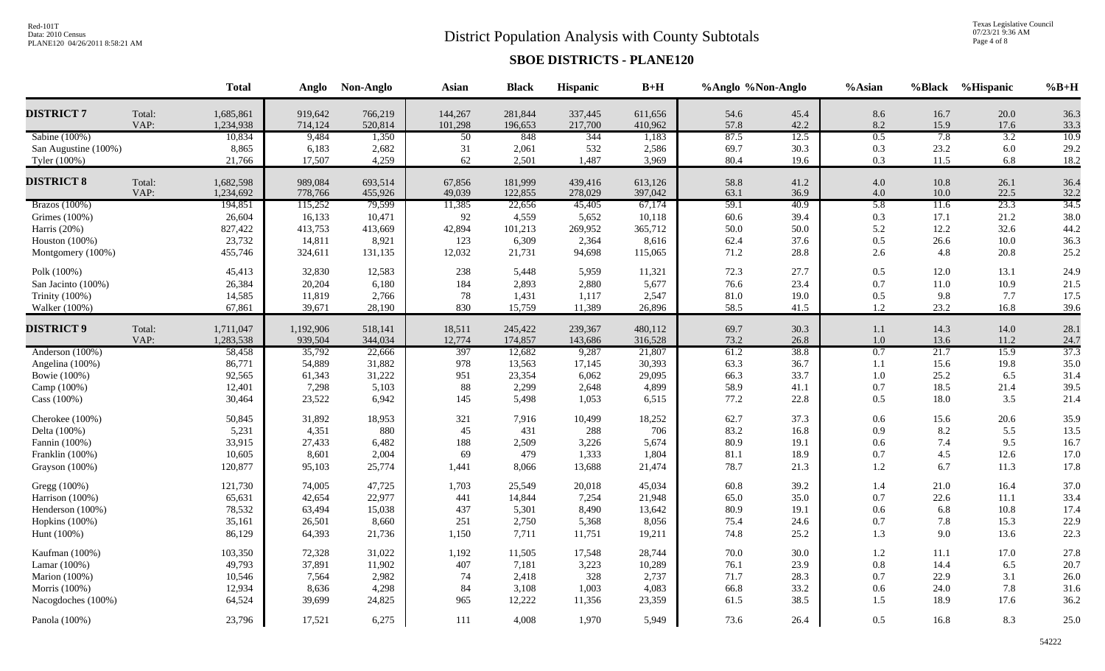# District Population Analysis with County Subtotals

Texas Legislative Council<br>07/23/21 9:36 AM<br>Page 4 of 8

|                      |        | <b>Total</b> |           | Anglo Non-Anglo | <b>Asian</b> | <b>Black</b> | Hispanic | $B+H$   | %Anglo %Non-Anglo |      | %Asian  |      | %Black %Hispanic | $%B+H$ |
|----------------------|--------|--------------|-----------|-----------------|--------------|--------------|----------|---------|-------------------|------|---------|------|------------------|--------|
| <b>DISTRICT 7</b>    | Total: | 1,685,861    | 919,642   | 766,219         | 144,267      | 281,844      | 337,445  | 611,656 | 54.6              | 45.4 | 8.6     | 16.7 | 20.0             | 36.3   |
|                      | VAP:   | 1,234,938    | 714,124   | 520,814         | 101,298      | 196,653      | 217,700  | 410,962 | 57.8              | 42.2 | 8.2     | 15.9 | 17.6             | 33.3   |
| Sabine (100%)        |        | 10,834       | 9,484     | 1,350           | 50           | 848          | 344      | 1,183   | 87.5              | 12.5 | 0.5     | 7.8  | 3.2              | 10.9   |
| San Augustine (100%) |        | 8,865        | 6,183     | 2,682           | 31           | 2,061        | 532      | 2,586   | 69.7              | 30.3 | 0.3     | 23.2 | $6.0\,$          | 29.2   |
| Tyler (100%)         |        | 21,766       | 17,507    | 4,259           | 62           | 2,501        | 1,487    | 3,969   | 80.4              | 19.6 | 0.3     | 11.5 | 6.8              | 18.2   |
| <b>DISTRICT 8</b>    | Total: | 1,682,598    | 989,084   | 693,514         | 67,856       | 181,999      | 439,416  | 613,126 | 58.8              | 41.2 | $4.0\,$ | 10.8 | 26.1             | 36.4   |
|                      | VAP:   | 1,234,692    | 778,766   | 455,926         | 49,039       | 122,855      | 278,029  | 397,042 | 63.1              | 36.9 | 4.0     | 10.0 | 22.5             | 32.2   |
| Brazos $(100\%)$     |        | 194,851      | 115,252   | 79,599          | 11,385       | 22,656       | 45,405   | 67,174  | 59.1              | 40.9 | 5.8     | 11.6 | 23.3             | 34.5   |
| Grimes (100%)        |        | 26,604       | 16,133    | 10,471          | 92           | 4,559        | 5,652    | 10,118  | $60.6\,$          | 39.4 | 0.3     | 17.1 | 21.2             | 38.0   |
| Harris (20%)         |        | 827,422      | 413,753   | 413,669         | 42,894       | 101,213      | 269,952  | 365,712 | 50.0              | 50.0 | 5.2     | 12.2 | 32.6             | 44.2   |
| Houston $(100\%)$    |        | 23,732       | 14,811    | 8,921           | 123          | 6,309        | 2,364    | 8,616   | 62.4              | 37.6 | 0.5     | 26.6 | 10.0             | 36.3   |
| Montgomery (100%)    |        | 455,746      | 324,611   | 131,135         | 12,032       | 21,731       | 94,698   | 115,065 | 71.2              | 28.8 | 2.6     | 4.8  | 20.8             | 25.2   |
| Polk (100%)          |        | 45,413       | 32,830    | 12,583          | 238          | 5,448        | 5,959    | 11,321  | 72.3              | 27.7 | 0.5     | 12.0 | 13.1             | 24.9   |
| San Jacinto (100%)   |        | 26,384       | 20,204    | 6,180           | 184          | 2,893        | 2,880    | 5,677   | 76.6              | 23.4 | $0.7\,$ | 11.0 | 10.9             | 21.5   |
| Trinity (100%)       |        | 14,585       | 11,819    | 2,766           | 78           | 1,431        | 1,117    | 2,547   | 81.0              | 19.0 | $0.5\,$ | 9.8  | 7.7              | 17.5   |
| Walker (100%)        |        | 67,861       | 39,671    | 28,190          | 830          | 15,759       | 11,389   | 26,896  | 58.5              | 41.5 | $1.2\,$ | 23.2 | 16.8             | 39.6   |
| <b>DISTRICT 9</b>    | Total: | 1,711,047    | 1,192,906 | 518,141         | 18,511       | 245,422      | 239,367  | 480,112 | 69.7              | 30.3 | $1.1\,$ | 14.3 | 14.0             | 28.1   |
|                      | VAP:   | 1,283,538    | 939,504   | 344,034         | 12,774       | 174,857      | 143,686  | 316,528 | 73.2              | 26.8 | $1.0\,$ | 13.6 | 11.2             | 24.7   |
| Anderson (100%)      |        | 58,458       | 35,792    | 22,666          | 397          | 12,682       | 9,287    | 21,807  | 61.2              | 38.8 | 0.7     | 21.7 | 15.9             | 37.3   |
| Angelina (100%)      |        | 86,771       | 54,889    | 31,882          | 978          | 13,563       | 17,145   | 30,393  | 63.3              | 36.7 | 1.1     | 15.6 | 19.8             | 35.0   |
| Bowie (100%)         |        | 92,565       | 61,343    | 31,222          | 951          | 23,354       | 6,062    | 29,095  | 66.3              | 33.7 | $1.0\,$ | 25.2 | 6.5              | 31.4   |
| Camp (100%)          |        | 12,401       | 7,298     | 5,103           | 88           | 2,299        | 2,648    | 4,899   | 58.9              | 41.1 | 0.7     | 18.5 | 21.4             | 39.5   |
| Cass (100%)          |        | 30,464       | 23,522    | 6,942           | 145          | 5,498        | 1,053    | 6,515   | 77.2              | 22.8 | 0.5     | 18.0 | 3.5              | 21.4   |
| Cherokee (100%)      |        | 50,845       | 31,892    | 18,953          | 321          | 7,916        | 10,499   | 18,252  | 62.7              | 37.3 | 0.6     | 15.6 | 20.6             | 35.9   |
| Delta (100%)         |        | 5,231        | 4,351     | 880             | 45           | 431          | 288      | 706     | 83.2              | 16.8 | 0.9     | 8.2  | 5.5              | 13.5   |
| Fannin (100%)        |        | 33,915       | 27,433    | 6,482           | 188          | 2,509        | 3,226    | 5,674   | 80.9              | 19.1 | 0.6     | 7.4  | 9.5              | 16.7   |
| Franklin (100%)      |        | 10,605       | 8,601     | 2,004           | 69           | 479          | 1,333    | 1,804   | 81.1              | 18.9 | 0.7     | 4.5  | 12.6             | 17.0   |
| Grayson (100%)       |        | 120,877      | 95,103    | 25,774          | 1,441        | 8,066        | 13,688   | 21,474  | 78.7              | 21.3 | 1.2     | 6.7  | 11.3             | 17.8   |
| Gregg (100%)         |        | 121,730      | 74,005    | 47,725          | 1,703        | 25,549       | 20,018   | 45,034  | 60.8              | 39.2 | 1.4     | 21.0 | 16.4             | 37.0   |
| Harrison (100%)      |        | 65,631       | 42,654    | 22,977          | 441          | 14,844       | 7,254    | 21,948  | 65.0              | 35.0 | $0.7\,$ | 22.6 | 11.1             | 33.4   |
| Henderson (100%)     |        | 78,532       | 63,494    | 15,038          | 437          | 5,301        | 8,490    | 13,642  | 80.9              | 19.1 | 0.6     | 6.8  | 10.8             | 17.4   |
| Hopkins (100%)       |        | 35,161       | 26,501    | 8,660           | 251          | 2,750        | 5,368    | 8,056   | 75.4              | 24.6 | $0.7\,$ | 7.8  | 15.3             | 22.9   |
| Hunt $(100%)$        |        | 86,129       | 64,393    | 21,736          | 1,150        | 7,711        | 11,751   | 19,211  | 74.8              | 25.2 | 1.3     | 9.0  | 13.6             | 22.3   |
| Kaufman (100%)       |        | 103,350      | 72,328    | 31,022          | 1,192        | 11,505       | 17,548   | 28,744  | 70.0              | 30.0 | $1.2\,$ | 11.1 | 17.0             | 27.8   |
| Lamar (100%)         |        | 49,793       | 37,891    | 11,902          | 407          | 7,181        | 3,223    | 10,289  | 76.1              | 23.9 | $0.8\,$ | 14.4 | 6.5              | 20.7   |
| Marion (100%)        |        | 10,546       | 7,564     | 2,982           | 74           | 2,418        | 328      | 2,737   | 71.7              | 28.3 | 0.7     | 22.9 | 3.1              | 26.0   |
| Morris (100%)        |        | 12,934       | 8,636     | 4,298           | 84           | 3,108        | 1,003    | 4,083   | 66.8              | 33.2 | 0.6     | 24.0 | 7.8              | 31.6   |
| Nacogdoches (100%)   |        | 64,524       | 39,699    | 24,825          | 965          | 12,222       | 11,356   | 23,359  | 61.5              | 38.5 | 1.5     | 18.9 | 17.6             | 36.2   |
| Panola (100%)        |        | 23,796       | 17,521    | 6,275           | 111          | 4,008        | 1,970    | 5,949   | 73.6              | 26.4 | 0.5     | 16.8 | 8.3              | 25.0   |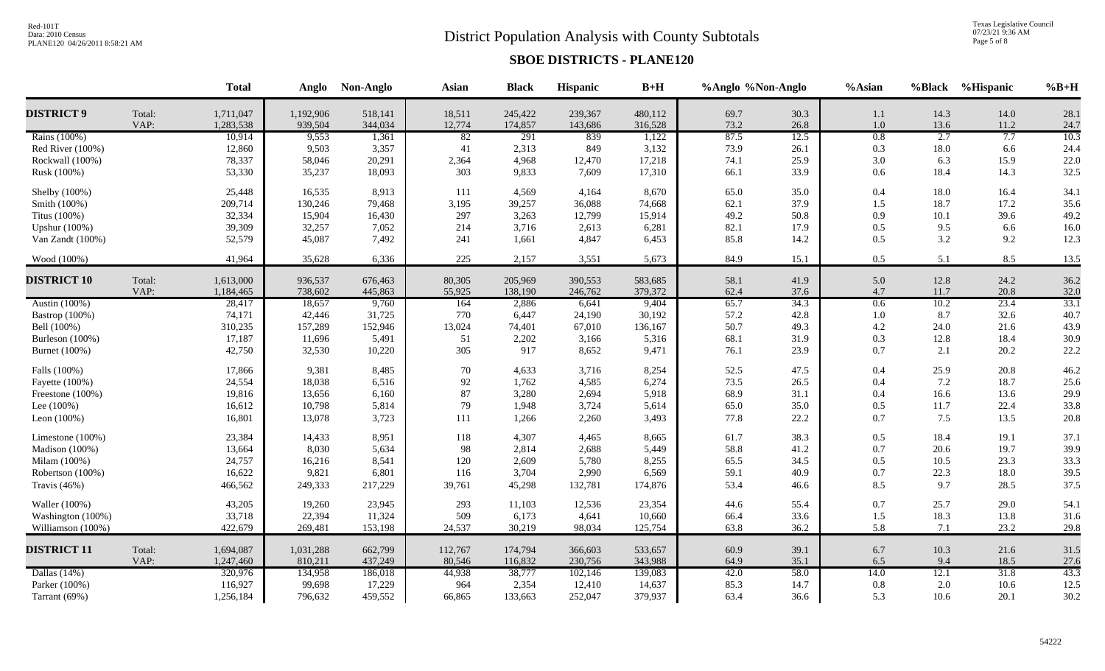# District Population Analysis with County Subtotals

Texas Legislative Council<br>07/23/21 9:36 AM<br>Page 5 of 8

| 28.1<br>Total:<br>1,711,047<br>1,192,906<br>518,141<br>18,511<br>245,422<br>239,367<br>480,112<br>69.7<br>30.3<br>14.3<br>14.0<br>1.1<br>VAP:<br>1,283,538<br>939,504<br>344,034<br>12,774<br>174,857<br>316,528<br>73.2<br>26.8<br>143,686<br>$1.0\,$<br>13.6<br>11.2<br>24.7<br>7.7<br>10.3<br>1,122<br>87.5<br>12.5<br>0.8<br>2.7<br>Rains (100%)<br>10,914<br>9,553<br>1,361<br>82<br>291<br>839<br>12,860<br>9,503<br>3,357<br>41<br>2,313<br>849<br>3,132<br>73.9<br>0.3<br>18.0<br>24.4<br>Red River (100%)<br>26.1<br>6.6<br>78,337<br>4,968<br>25.9<br>22.0<br>58,046<br>20,291<br>2,364<br>12,470<br>17,218<br>74.1<br>3.0<br>6.3<br>15.9<br>Rockwall (100%)<br>32.5<br>Rusk (100%)<br>53,330<br>35,237<br>18,093<br>303<br>9,833<br>7,609<br>17,310<br>33.9<br>$0.6\,$<br>18.4<br>14.3<br>66.1<br>25,448<br>16,535<br>8,913<br>4,569<br>4,164<br>8,670<br>65.0<br>35.0<br>0.4<br>18.0<br>16.4<br>34.1<br>Shelby (100%)<br>111<br>39,257<br>36,088<br>62.1<br>37.9<br>1.5<br>17.2<br>35.6<br>Smith (100%)<br>209,714<br>130,246<br>79,468<br>3,195<br>74,668<br>18.7<br>32,334<br>50.8<br>39.6<br>Titus (100%)<br>15,904<br>16,430<br>297<br>3,263<br>12,799<br>15,914<br>49.2<br>0.9<br>10.1<br>49.2<br>39,309<br>7,052<br>3,716<br>6,281<br>82.1<br>17.9<br>$0.5\,$<br>9.5<br>6.6<br>16.0<br><b>Upshur</b> (100%)<br>32,257<br>214<br>2,613<br>3.2<br>12.3<br>52,579<br>7,492<br>4,847<br>85.8<br>14.2<br>0.5<br>9.2<br>Van Zandt (100%)<br>45,087<br>241<br>1,661<br>6,453<br>Wood (100%)<br>41,964<br>35,628<br>6,336<br>225<br>2,157<br>3,551<br>5,673<br>84.9<br>15.1<br>0.5<br>5.1<br>8.5<br>13.5<br><b>DISTRICT 10</b><br>36.2<br>Total:<br>1,613,000<br>936,537<br>676,463<br>80,305<br>205,969<br>390,553<br>41.9<br>$5.0\,$<br>12.8<br>24.2<br>583,685<br>58.1<br>32.0<br>VAP:<br>1,184,465<br>738,602<br>445,863<br>55,925<br>138,190<br>246,762<br>379,372<br>62.4<br>37.6<br>11.7<br>20.8<br>4.7<br>33.1<br>Austin (100%)<br>65.7<br>34.3<br>0.6<br>10.2<br>23.4<br>28,417<br>18,657<br>9,760<br>164<br>2,886<br>6,641<br>9,404<br>Bastrop (100%)<br>74,171<br>31,725<br>6,447<br>24,190<br>30,192<br>57.2<br>42.8<br>8.7<br>32.6<br>40.7<br>42,446<br>770<br>1.0<br>43.9<br>310,235<br>152,946<br>13,024<br>74,401<br>136,167<br>50.7<br>49.3<br>24.0<br>21.6<br>Bell (100%)<br>157,289<br>67,010<br>4.2<br>17,187<br>2,202<br>12.8<br>18.4<br>30.9<br>11,696<br>5,491<br>51<br>3,166<br>5,316<br>68.1<br>31.9<br>0.3<br>Burleson (100%)<br>22.2<br>42,750<br>305<br>917<br>9,471<br>23.9<br>2.1<br>20.2<br>Burnet (100%)<br>32,530<br>10,220<br>8,652<br>76.1<br>0.7<br>Falls (100%)<br>17,866<br>9,381<br>8,485<br>70<br>4,633<br>3,716<br>8,254<br>52.5<br>47.5<br>$0.4\,$<br>25.9<br>20.8<br>46.2<br>24,554<br>92<br>1,762<br>4,585<br>73.5<br>26.5<br>7.2<br>18.7<br>25.6<br>Fayette (100%)<br>18,038<br>6,516<br>6,274<br>$0.4\,$<br>$87\,$<br>3,280<br>19,816<br>6,160<br>2,694<br>5,918<br>68.9<br>31.1<br>0.4<br>16.6<br>13.6<br>29.9<br>Freestone (100%)<br>13,656<br>22.4<br>Lee $(100\%)$<br>16,612<br>5,814<br>79<br>1,948<br>3,724<br>65.0<br>35.0<br>0.5<br>11.7<br>33.8<br>10,798<br>5,614<br>20.8<br>16,801<br>22.2<br>7.5<br>13.5<br>Leon $(100%)$<br>13,078<br>3,723<br>111<br>1,266<br>2,260<br>3,493<br>77.8<br>0.7<br>23,384<br>8,951<br>4,307<br>0.5<br>19.1<br>37.1<br>14,433<br>118<br>4,465<br>8,665<br>61.7<br>38.3<br>18.4<br>Limestone (100%)<br>19.7<br>39.9<br>13,664<br>8,030<br>5,634<br>98<br>2,814<br>2,688<br>5,449<br>58.8<br>41.2<br>$0.7\,$<br>20.6<br>Madison (100%)<br>23.3<br>Milam (100%)<br>24,757<br>8,541<br>120<br>2,609<br>5,780<br>8,255<br>65.5<br>34.5<br>0.5<br>10.5<br>33.3<br>16,216<br>39.5<br>22.3<br>16,622<br>6,801<br>116<br>3,704<br>2,990<br>6,569<br>59.1<br>40.9<br>18.0<br>Robertson (100%)<br>9,821<br>0.7<br>37.5<br>466,562<br>9.7<br>28.5<br>Travis (46%)<br>217,229<br>45,298<br>132,781<br>174,876<br>53.4<br>46.6<br>8.5<br>249,333<br>39,761<br>54.1<br>43,205<br>23,945<br>12,536<br>44.6<br>55.4<br>0.7<br>25.7<br>29.0<br>Waller (100%)<br>19,260<br>293<br>11,103<br>23,354<br>Washington (100%)<br>33,718<br>22,394<br>11,324<br>509<br>6,173<br>4,641<br>10,660<br>33.6<br>$1.5\,$<br>18.3<br>13.8<br>31.6<br>66.4<br>422,679<br>5.8<br>23.2<br>153,198<br>30,219<br>125,754<br>63.8<br>36.2<br>29.8<br>Williamson (100%)<br>269,481<br>24,537<br>98,034<br>7.1<br><b>DISTRICT 11</b><br>Total:<br>662,799<br>39.1<br>10.3<br>21.6<br>31.5<br>1,694,087<br>1,031,288<br>112,767<br>174,794<br>366,603<br>533,657<br>60.9<br>6.7<br>VAP:<br>1,247,460<br>810,211<br>437,249<br>116,832<br>230,756<br>343,988<br>35.1<br>6.5<br>9.4<br>18.5<br>27.6<br>80,546<br>64.9<br>43.3<br>31.8<br>Dallas $(14%)$<br>320,976<br>38,777<br>102,146<br>42.0<br>58.0<br>14.0<br>12.1<br>134,958<br>186,018<br>44,938<br>139,083<br>12.5<br>116,927<br>17,229<br>964<br>2,354<br>14,637<br>85.3<br>14.7<br>2.0<br>10.6<br>Parker (100%)<br>99,698<br>12,410<br>0.8<br>30.2<br>1,256,184<br>796,632<br>459,552<br>133,663<br>252,047<br>379,937<br>63.4<br>36.6<br>5.3<br>10.6<br>20.1<br>Tarrant (69%)<br>66,865 |                   | <b>Total</b> | Anglo | Non-Anglo | <b>Asian</b> | <b>Black</b> | Hispanic | $B+H$ | %Anglo %Non-Anglo | %Asian | %Black %Hispanic | $%B+H$ |
|---------------------------------------------------------------------------------------------------------------------------------------------------------------------------------------------------------------------------------------------------------------------------------------------------------------------------------------------------------------------------------------------------------------------------------------------------------------------------------------------------------------------------------------------------------------------------------------------------------------------------------------------------------------------------------------------------------------------------------------------------------------------------------------------------------------------------------------------------------------------------------------------------------------------------------------------------------------------------------------------------------------------------------------------------------------------------------------------------------------------------------------------------------------------------------------------------------------------------------------------------------------------------------------------------------------------------------------------------------------------------------------------------------------------------------------------------------------------------------------------------------------------------------------------------------------------------------------------------------------------------------------------------------------------------------------------------------------------------------------------------------------------------------------------------------------------------------------------------------------------------------------------------------------------------------------------------------------------------------------------------------------------------------------------------------------------------------------------------------------------------------------------------------------------------------------------------------------------------------------------------------------------------------------------------------------------------------------------------------------------------------------------------------------------------------------------------------------------------------------------------------------------------------------------------------------------------------------------------------------------------------------------------------------------------------------------------------------------------------------------------------------------------------------------------------------------------------------------------------------------------------------------------------------------------------------------------------------------------------------------------------------------------------------------------------------------------------------------------------------------------------------------------------------------------------------------------------------------------------------------------------------------------------------------------------------------------------------------------------------------------------------------------------------------------------------------------------------------------------------------------------------------------------------------------------------------------------------------------------------------------------------------------------------------------------------------------------------------------------------------------------------------------------------------------------------------------------------------------------------------------------------------------------------------------------------------------------------------------------------------------------------------------------------------------------------------------------------------------------------------------------------------------------------------------------------------------------------------------------------------------------------------------------------------------------------------------------------------------------------------------------------------------------------------------------------------------------------------------------------------------------------------------------------------------------------------------------------------------------------------------------------------------------------------------------------------------------------------------------------------------------------------------------------------------------------------------------------------------------------------------------------------------------------------------------------------------------------------------------------------------------------------------------------------------------------------------------------------------------|-------------------|--------------|-------|-----------|--------------|--------------|----------|-------|-------------------|--------|------------------|--------|
|                                                                                                                                                                                                                                                                                                                                                                                                                                                                                                                                                                                                                                                                                                                                                                                                                                                                                                                                                                                                                                                                                                                                                                                                                                                                                                                                                                                                                                                                                                                                                                                                                                                                                                                                                                                                                                                                                                                                                                                                                                                                                                                                                                                                                                                                                                                                                                                                                                                                                                                                                                                                                                                                                                                                                                                                                                                                                                                                                                                                                                                                                                                                                                                                                                                                                                                                                                                                                                                                                                                                                                                                                                                                                                                                                                                                                                                                                                                                                                                                                                                                                                                                                                                                                                                                                                                                                                                                                                                                                                                                                                                                                                                                                                                                                                                                                                                                                                                                                                                                                                                                                                         | <b>DISTRICT 9</b> |              |       |           |              |              |          |       |                   |        |                  |        |
|                                                                                                                                                                                                                                                                                                                                                                                                                                                                                                                                                                                                                                                                                                                                                                                                                                                                                                                                                                                                                                                                                                                                                                                                                                                                                                                                                                                                                                                                                                                                                                                                                                                                                                                                                                                                                                                                                                                                                                                                                                                                                                                                                                                                                                                                                                                                                                                                                                                                                                                                                                                                                                                                                                                                                                                                                                                                                                                                                                                                                                                                                                                                                                                                                                                                                                                                                                                                                                                                                                                                                                                                                                                                                                                                                                                                                                                                                                                                                                                                                                                                                                                                                                                                                                                                                                                                                                                                                                                                                                                                                                                                                                                                                                                                                                                                                                                                                                                                                                                                                                                                                                         |                   |              |       |           |              |              |          |       |                   |        |                  |        |
|                                                                                                                                                                                                                                                                                                                                                                                                                                                                                                                                                                                                                                                                                                                                                                                                                                                                                                                                                                                                                                                                                                                                                                                                                                                                                                                                                                                                                                                                                                                                                                                                                                                                                                                                                                                                                                                                                                                                                                                                                                                                                                                                                                                                                                                                                                                                                                                                                                                                                                                                                                                                                                                                                                                                                                                                                                                                                                                                                                                                                                                                                                                                                                                                                                                                                                                                                                                                                                                                                                                                                                                                                                                                                                                                                                                                                                                                                                                                                                                                                                                                                                                                                                                                                                                                                                                                                                                                                                                                                                                                                                                                                                                                                                                                                                                                                                                                                                                                                                                                                                                                                                         |                   |              |       |           |              |              |          |       |                   |        |                  |        |
|                                                                                                                                                                                                                                                                                                                                                                                                                                                                                                                                                                                                                                                                                                                                                                                                                                                                                                                                                                                                                                                                                                                                                                                                                                                                                                                                                                                                                                                                                                                                                                                                                                                                                                                                                                                                                                                                                                                                                                                                                                                                                                                                                                                                                                                                                                                                                                                                                                                                                                                                                                                                                                                                                                                                                                                                                                                                                                                                                                                                                                                                                                                                                                                                                                                                                                                                                                                                                                                                                                                                                                                                                                                                                                                                                                                                                                                                                                                                                                                                                                                                                                                                                                                                                                                                                                                                                                                                                                                                                                                                                                                                                                                                                                                                                                                                                                                                                                                                                                                                                                                                                                         |                   |              |       |           |              |              |          |       |                   |        |                  |        |
|                                                                                                                                                                                                                                                                                                                                                                                                                                                                                                                                                                                                                                                                                                                                                                                                                                                                                                                                                                                                                                                                                                                                                                                                                                                                                                                                                                                                                                                                                                                                                                                                                                                                                                                                                                                                                                                                                                                                                                                                                                                                                                                                                                                                                                                                                                                                                                                                                                                                                                                                                                                                                                                                                                                                                                                                                                                                                                                                                                                                                                                                                                                                                                                                                                                                                                                                                                                                                                                                                                                                                                                                                                                                                                                                                                                                                                                                                                                                                                                                                                                                                                                                                                                                                                                                                                                                                                                                                                                                                                                                                                                                                                                                                                                                                                                                                                                                                                                                                                                                                                                                                                         |                   |              |       |           |              |              |          |       |                   |        |                  |        |
|                                                                                                                                                                                                                                                                                                                                                                                                                                                                                                                                                                                                                                                                                                                                                                                                                                                                                                                                                                                                                                                                                                                                                                                                                                                                                                                                                                                                                                                                                                                                                                                                                                                                                                                                                                                                                                                                                                                                                                                                                                                                                                                                                                                                                                                                                                                                                                                                                                                                                                                                                                                                                                                                                                                                                                                                                                                                                                                                                                                                                                                                                                                                                                                                                                                                                                                                                                                                                                                                                                                                                                                                                                                                                                                                                                                                                                                                                                                                                                                                                                                                                                                                                                                                                                                                                                                                                                                                                                                                                                                                                                                                                                                                                                                                                                                                                                                                                                                                                                                                                                                                                                         |                   |              |       |           |              |              |          |       |                   |        |                  |        |
|                                                                                                                                                                                                                                                                                                                                                                                                                                                                                                                                                                                                                                                                                                                                                                                                                                                                                                                                                                                                                                                                                                                                                                                                                                                                                                                                                                                                                                                                                                                                                                                                                                                                                                                                                                                                                                                                                                                                                                                                                                                                                                                                                                                                                                                                                                                                                                                                                                                                                                                                                                                                                                                                                                                                                                                                                                                                                                                                                                                                                                                                                                                                                                                                                                                                                                                                                                                                                                                                                                                                                                                                                                                                                                                                                                                                                                                                                                                                                                                                                                                                                                                                                                                                                                                                                                                                                                                                                                                                                                                                                                                                                                                                                                                                                                                                                                                                                                                                                                                                                                                                                                         |                   |              |       |           |              |              |          |       |                   |        |                  |        |
|                                                                                                                                                                                                                                                                                                                                                                                                                                                                                                                                                                                                                                                                                                                                                                                                                                                                                                                                                                                                                                                                                                                                                                                                                                                                                                                                                                                                                                                                                                                                                                                                                                                                                                                                                                                                                                                                                                                                                                                                                                                                                                                                                                                                                                                                                                                                                                                                                                                                                                                                                                                                                                                                                                                                                                                                                                                                                                                                                                                                                                                                                                                                                                                                                                                                                                                                                                                                                                                                                                                                                                                                                                                                                                                                                                                                                                                                                                                                                                                                                                                                                                                                                                                                                                                                                                                                                                                                                                                                                                                                                                                                                                                                                                                                                                                                                                                                                                                                                                                                                                                                                                         |                   |              |       |           |              |              |          |       |                   |        |                  |        |
|                                                                                                                                                                                                                                                                                                                                                                                                                                                                                                                                                                                                                                                                                                                                                                                                                                                                                                                                                                                                                                                                                                                                                                                                                                                                                                                                                                                                                                                                                                                                                                                                                                                                                                                                                                                                                                                                                                                                                                                                                                                                                                                                                                                                                                                                                                                                                                                                                                                                                                                                                                                                                                                                                                                                                                                                                                                                                                                                                                                                                                                                                                                                                                                                                                                                                                                                                                                                                                                                                                                                                                                                                                                                                                                                                                                                                                                                                                                                                                                                                                                                                                                                                                                                                                                                                                                                                                                                                                                                                                                                                                                                                                                                                                                                                                                                                                                                                                                                                                                                                                                                                                         |                   |              |       |           |              |              |          |       |                   |        |                  |        |
|                                                                                                                                                                                                                                                                                                                                                                                                                                                                                                                                                                                                                                                                                                                                                                                                                                                                                                                                                                                                                                                                                                                                                                                                                                                                                                                                                                                                                                                                                                                                                                                                                                                                                                                                                                                                                                                                                                                                                                                                                                                                                                                                                                                                                                                                                                                                                                                                                                                                                                                                                                                                                                                                                                                                                                                                                                                                                                                                                                                                                                                                                                                                                                                                                                                                                                                                                                                                                                                                                                                                                                                                                                                                                                                                                                                                                                                                                                                                                                                                                                                                                                                                                                                                                                                                                                                                                                                                                                                                                                                                                                                                                                                                                                                                                                                                                                                                                                                                                                                                                                                                                                         |                   |              |       |           |              |              |          |       |                   |        |                  |        |
|                                                                                                                                                                                                                                                                                                                                                                                                                                                                                                                                                                                                                                                                                                                                                                                                                                                                                                                                                                                                                                                                                                                                                                                                                                                                                                                                                                                                                                                                                                                                                                                                                                                                                                                                                                                                                                                                                                                                                                                                                                                                                                                                                                                                                                                                                                                                                                                                                                                                                                                                                                                                                                                                                                                                                                                                                                                                                                                                                                                                                                                                                                                                                                                                                                                                                                                                                                                                                                                                                                                                                                                                                                                                                                                                                                                                                                                                                                                                                                                                                                                                                                                                                                                                                                                                                                                                                                                                                                                                                                                                                                                                                                                                                                                                                                                                                                                                                                                                                                                                                                                                                                         |                   |              |       |           |              |              |          |       |                   |        |                  |        |
|                                                                                                                                                                                                                                                                                                                                                                                                                                                                                                                                                                                                                                                                                                                                                                                                                                                                                                                                                                                                                                                                                                                                                                                                                                                                                                                                                                                                                                                                                                                                                                                                                                                                                                                                                                                                                                                                                                                                                                                                                                                                                                                                                                                                                                                                                                                                                                                                                                                                                                                                                                                                                                                                                                                                                                                                                                                                                                                                                                                                                                                                                                                                                                                                                                                                                                                                                                                                                                                                                                                                                                                                                                                                                                                                                                                                                                                                                                                                                                                                                                                                                                                                                                                                                                                                                                                                                                                                                                                                                                                                                                                                                                                                                                                                                                                                                                                                                                                                                                                                                                                                                                         |                   |              |       |           |              |              |          |       |                   |        |                  |        |
|                                                                                                                                                                                                                                                                                                                                                                                                                                                                                                                                                                                                                                                                                                                                                                                                                                                                                                                                                                                                                                                                                                                                                                                                                                                                                                                                                                                                                                                                                                                                                                                                                                                                                                                                                                                                                                                                                                                                                                                                                                                                                                                                                                                                                                                                                                                                                                                                                                                                                                                                                                                                                                                                                                                                                                                                                                                                                                                                                                                                                                                                                                                                                                                                                                                                                                                                                                                                                                                                                                                                                                                                                                                                                                                                                                                                                                                                                                                                                                                                                                                                                                                                                                                                                                                                                                                                                                                                                                                                                                                                                                                                                                                                                                                                                                                                                                                                                                                                                                                                                                                                                                         |                   |              |       |           |              |              |          |       |                   |        |                  |        |
|                                                                                                                                                                                                                                                                                                                                                                                                                                                                                                                                                                                                                                                                                                                                                                                                                                                                                                                                                                                                                                                                                                                                                                                                                                                                                                                                                                                                                                                                                                                                                                                                                                                                                                                                                                                                                                                                                                                                                                                                                                                                                                                                                                                                                                                                                                                                                                                                                                                                                                                                                                                                                                                                                                                                                                                                                                                                                                                                                                                                                                                                                                                                                                                                                                                                                                                                                                                                                                                                                                                                                                                                                                                                                                                                                                                                                                                                                                                                                                                                                                                                                                                                                                                                                                                                                                                                                                                                                                                                                                                                                                                                                                                                                                                                                                                                                                                                                                                                                                                                                                                                                                         |                   |              |       |           |              |              |          |       |                   |        |                  |        |
|                                                                                                                                                                                                                                                                                                                                                                                                                                                                                                                                                                                                                                                                                                                                                                                                                                                                                                                                                                                                                                                                                                                                                                                                                                                                                                                                                                                                                                                                                                                                                                                                                                                                                                                                                                                                                                                                                                                                                                                                                                                                                                                                                                                                                                                                                                                                                                                                                                                                                                                                                                                                                                                                                                                                                                                                                                                                                                                                                                                                                                                                                                                                                                                                                                                                                                                                                                                                                                                                                                                                                                                                                                                                                                                                                                                                                                                                                                                                                                                                                                                                                                                                                                                                                                                                                                                                                                                                                                                                                                                                                                                                                                                                                                                                                                                                                                                                                                                                                                                                                                                                                                         |                   |              |       |           |              |              |          |       |                   |        |                  |        |
|                                                                                                                                                                                                                                                                                                                                                                                                                                                                                                                                                                                                                                                                                                                                                                                                                                                                                                                                                                                                                                                                                                                                                                                                                                                                                                                                                                                                                                                                                                                                                                                                                                                                                                                                                                                                                                                                                                                                                                                                                                                                                                                                                                                                                                                                                                                                                                                                                                                                                                                                                                                                                                                                                                                                                                                                                                                                                                                                                                                                                                                                                                                                                                                                                                                                                                                                                                                                                                                                                                                                                                                                                                                                                                                                                                                                                                                                                                                                                                                                                                                                                                                                                                                                                                                                                                                                                                                                                                                                                                                                                                                                                                                                                                                                                                                                                                                                                                                                                                                                                                                                                                         |                   |              |       |           |              |              |          |       |                   |        |                  |        |
|                                                                                                                                                                                                                                                                                                                                                                                                                                                                                                                                                                                                                                                                                                                                                                                                                                                                                                                                                                                                                                                                                                                                                                                                                                                                                                                                                                                                                                                                                                                                                                                                                                                                                                                                                                                                                                                                                                                                                                                                                                                                                                                                                                                                                                                                                                                                                                                                                                                                                                                                                                                                                                                                                                                                                                                                                                                                                                                                                                                                                                                                                                                                                                                                                                                                                                                                                                                                                                                                                                                                                                                                                                                                                                                                                                                                                                                                                                                                                                                                                                                                                                                                                                                                                                                                                                                                                                                                                                                                                                                                                                                                                                                                                                                                                                                                                                                                                                                                                                                                                                                                                                         |                   |              |       |           |              |              |          |       |                   |        |                  |        |
|                                                                                                                                                                                                                                                                                                                                                                                                                                                                                                                                                                                                                                                                                                                                                                                                                                                                                                                                                                                                                                                                                                                                                                                                                                                                                                                                                                                                                                                                                                                                                                                                                                                                                                                                                                                                                                                                                                                                                                                                                                                                                                                                                                                                                                                                                                                                                                                                                                                                                                                                                                                                                                                                                                                                                                                                                                                                                                                                                                                                                                                                                                                                                                                                                                                                                                                                                                                                                                                                                                                                                                                                                                                                                                                                                                                                                                                                                                                                                                                                                                                                                                                                                                                                                                                                                                                                                                                                                                                                                                                                                                                                                                                                                                                                                                                                                                                                                                                                                                                                                                                                                                         |                   |              |       |           |              |              |          |       |                   |        |                  |        |
|                                                                                                                                                                                                                                                                                                                                                                                                                                                                                                                                                                                                                                                                                                                                                                                                                                                                                                                                                                                                                                                                                                                                                                                                                                                                                                                                                                                                                                                                                                                                                                                                                                                                                                                                                                                                                                                                                                                                                                                                                                                                                                                                                                                                                                                                                                                                                                                                                                                                                                                                                                                                                                                                                                                                                                                                                                                                                                                                                                                                                                                                                                                                                                                                                                                                                                                                                                                                                                                                                                                                                                                                                                                                                                                                                                                                                                                                                                                                                                                                                                                                                                                                                                                                                                                                                                                                                                                                                                                                                                                                                                                                                                                                                                                                                                                                                                                                                                                                                                                                                                                                                                         |                   |              |       |           |              |              |          |       |                   |        |                  |        |
|                                                                                                                                                                                                                                                                                                                                                                                                                                                                                                                                                                                                                                                                                                                                                                                                                                                                                                                                                                                                                                                                                                                                                                                                                                                                                                                                                                                                                                                                                                                                                                                                                                                                                                                                                                                                                                                                                                                                                                                                                                                                                                                                                                                                                                                                                                                                                                                                                                                                                                                                                                                                                                                                                                                                                                                                                                                                                                                                                                                                                                                                                                                                                                                                                                                                                                                                                                                                                                                                                                                                                                                                                                                                                                                                                                                                                                                                                                                                                                                                                                                                                                                                                                                                                                                                                                                                                                                                                                                                                                                                                                                                                                                                                                                                                                                                                                                                                                                                                                                                                                                                                                         |                   |              |       |           |              |              |          |       |                   |        |                  |        |
|                                                                                                                                                                                                                                                                                                                                                                                                                                                                                                                                                                                                                                                                                                                                                                                                                                                                                                                                                                                                                                                                                                                                                                                                                                                                                                                                                                                                                                                                                                                                                                                                                                                                                                                                                                                                                                                                                                                                                                                                                                                                                                                                                                                                                                                                                                                                                                                                                                                                                                                                                                                                                                                                                                                                                                                                                                                                                                                                                                                                                                                                                                                                                                                                                                                                                                                                                                                                                                                                                                                                                                                                                                                                                                                                                                                                                                                                                                                                                                                                                                                                                                                                                                                                                                                                                                                                                                                                                                                                                                                                                                                                                                                                                                                                                                                                                                                                                                                                                                                                                                                                                                         |                   |              |       |           |              |              |          |       |                   |        |                  |        |
|                                                                                                                                                                                                                                                                                                                                                                                                                                                                                                                                                                                                                                                                                                                                                                                                                                                                                                                                                                                                                                                                                                                                                                                                                                                                                                                                                                                                                                                                                                                                                                                                                                                                                                                                                                                                                                                                                                                                                                                                                                                                                                                                                                                                                                                                                                                                                                                                                                                                                                                                                                                                                                                                                                                                                                                                                                                                                                                                                                                                                                                                                                                                                                                                                                                                                                                                                                                                                                                                                                                                                                                                                                                                                                                                                                                                                                                                                                                                                                                                                                                                                                                                                                                                                                                                                                                                                                                                                                                                                                                                                                                                                                                                                                                                                                                                                                                                                                                                                                                                                                                                                                         |                   |              |       |           |              |              |          |       |                   |        |                  |        |
|                                                                                                                                                                                                                                                                                                                                                                                                                                                                                                                                                                                                                                                                                                                                                                                                                                                                                                                                                                                                                                                                                                                                                                                                                                                                                                                                                                                                                                                                                                                                                                                                                                                                                                                                                                                                                                                                                                                                                                                                                                                                                                                                                                                                                                                                                                                                                                                                                                                                                                                                                                                                                                                                                                                                                                                                                                                                                                                                                                                                                                                                                                                                                                                                                                                                                                                                                                                                                                                                                                                                                                                                                                                                                                                                                                                                                                                                                                                                                                                                                                                                                                                                                                                                                                                                                                                                                                                                                                                                                                                                                                                                                                                                                                                                                                                                                                                                                                                                                                                                                                                                                                         |                   |              |       |           |              |              |          |       |                   |        |                  |        |
|                                                                                                                                                                                                                                                                                                                                                                                                                                                                                                                                                                                                                                                                                                                                                                                                                                                                                                                                                                                                                                                                                                                                                                                                                                                                                                                                                                                                                                                                                                                                                                                                                                                                                                                                                                                                                                                                                                                                                                                                                                                                                                                                                                                                                                                                                                                                                                                                                                                                                                                                                                                                                                                                                                                                                                                                                                                                                                                                                                                                                                                                                                                                                                                                                                                                                                                                                                                                                                                                                                                                                                                                                                                                                                                                                                                                                                                                                                                                                                                                                                                                                                                                                                                                                                                                                                                                                                                                                                                                                                                                                                                                                                                                                                                                                                                                                                                                                                                                                                                                                                                                                                         |                   |              |       |           |              |              |          |       |                   |        |                  |        |
|                                                                                                                                                                                                                                                                                                                                                                                                                                                                                                                                                                                                                                                                                                                                                                                                                                                                                                                                                                                                                                                                                                                                                                                                                                                                                                                                                                                                                                                                                                                                                                                                                                                                                                                                                                                                                                                                                                                                                                                                                                                                                                                                                                                                                                                                                                                                                                                                                                                                                                                                                                                                                                                                                                                                                                                                                                                                                                                                                                                                                                                                                                                                                                                                                                                                                                                                                                                                                                                                                                                                                                                                                                                                                                                                                                                                                                                                                                                                                                                                                                                                                                                                                                                                                                                                                                                                                                                                                                                                                                                                                                                                                                                                                                                                                                                                                                                                                                                                                                                                                                                                                                         |                   |              |       |           |              |              |          |       |                   |        |                  |        |
|                                                                                                                                                                                                                                                                                                                                                                                                                                                                                                                                                                                                                                                                                                                                                                                                                                                                                                                                                                                                                                                                                                                                                                                                                                                                                                                                                                                                                                                                                                                                                                                                                                                                                                                                                                                                                                                                                                                                                                                                                                                                                                                                                                                                                                                                                                                                                                                                                                                                                                                                                                                                                                                                                                                                                                                                                                                                                                                                                                                                                                                                                                                                                                                                                                                                                                                                                                                                                                                                                                                                                                                                                                                                                                                                                                                                                                                                                                                                                                                                                                                                                                                                                                                                                                                                                                                                                                                                                                                                                                                                                                                                                                                                                                                                                                                                                                                                                                                                                                                                                                                                                                         |                   |              |       |           |              |              |          |       |                   |        |                  |        |
|                                                                                                                                                                                                                                                                                                                                                                                                                                                                                                                                                                                                                                                                                                                                                                                                                                                                                                                                                                                                                                                                                                                                                                                                                                                                                                                                                                                                                                                                                                                                                                                                                                                                                                                                                                                                                                                                                                                                                                                                                                                                                                                                                                                                                                                                                                                                                                                                                                                                                                                                                                                                                                                                                                                                                                                                                                                                                                                                                                                                                                                                                                                                                                                                                                                                                                                                                                                                                                                                                                                                                                                                                                                                                                                                                                                                                                                                                                                                                                                                                                                                                                                                                                                                                                                                                                                                                                                                                                                                                                                                                                                                                                                                                                                                                                                                                                                                                                                                                                                                                                                                                                         |                   |              |       |           |              |              |          |       |                   |        |                  |        |
|                                                                                                                                                                                                                                                                                                                                                                                                                                                                                                                                                                                                                                                                                                                                                                                                                                                                                                                                                                                                                                                                                                                                                                                                                                                                                                                                                                                                                                                                                                                                                                                                                                                                                                                                                                                                                                                                                                                                                                                                                                                                                                                                                                                                                                                                                                                                                                                                                                                                                                                                                                                                                                                                                                                                                                                                                                                                                                                                                                                                                                                                                                                                                                                                                                                                                                                                                                                                                                                                                                                                                                                                                                                                                                                                                                                                                                                                                                                                                                                                                                                                                                                                                                                                                                                                                                                                                                                                                                                                                                                                                                                                                                                                                                                                                                                                                                                                                                                                                                                                                                                                                                         |                   |              |       |           |              |              |          |       |                   |        |                  |        |
|                                                                                                                                                                                                                                                                                                                                                                                                                                                                                                                                                                                                                                                                                                                                                                                                                                                                                                                                                                                                                                                                                                                                                                                                                                                                                                                                                                                                                                                                                                                                                                                                                                                                                                                                                                                                                                                                                                                                                                                                                                                                                                                                                                                                                                                                                                                                                                                                                                                                                                                                                                                                                                                                                                                                                                                                                                                                                                                                                                                                                                                                                                                                                                                                                                                                                                                                                                                                                                                                                                                                                                                                                                                                                                                                                                                                                                                                                                                                                                                                                                                                                                                                                                                                                                                                                                                                                                                                                                                                                                                                                                                                                                                                                                                                                                                                                                                                                                                                                                                                                                                                                                         |                   |              |       |           |              |              |          |       |                   |        |                  |        |
|                                                                                                                                                                                                                                                                                                                                                                                                                                                                                                                                                                                                                                                                                                                                                                                                                                                                                                                                                                                                                                                                                                                                                                                                                                                                                                                                                                                                                                                                                                                                                                                                                                                                                                                                                                                                                                                                                                                                                                                                                                                                                                                                                                                                                                                                                                                                                                                                                                                                                                                                                                                                                                                                                                                                                                                                                                                                                                                                                                                                                                                                                                                                                                                                                                                                                                                                                                                                                                                                                                                                                                                                                                                                                                                                                                                                                                                                                                                                                                                                                                                                                                                                                                                                                                                                                                                                                                                                                                                                                                                                                                                                                                                                                                                                                                                                                                                                                                                                                                                                                                                                                                         |                   |              |       |           |              |              |          |       |                   |        |                  |        |
|                                                                                                                                                                                                                                                                                                                                                                                                                                                                                                                                                                                                                                                                                                                                                                                                                                                                                                                                                                                                                                                                                                                                                                                                                                                                                                                                                                                                                                                                                                                                                                                                                                                                                                                                                                                                                                                                                                                                                                                                                                                                                                                                                                                                                                                                                                                                                                                                                                                                                                                                                                                                                                                                                                                                                                                                                                                                                                                                                                                                                                                                                                                                                                                                                                                                                                                                                                                                                                                                                                                                                                                                                                                                                                                                                                                                                                                                                                                                                                                                                                                                                                                                                                                                                                                                                                                                                                                                                                                                                                                                                                                                                                                                                                                                                                                                                                                                                                                                                                                                                                                                                                         |                   |              |       |           |              |              |          |       |                   |        |                  |        |
|                                                                                                                                                                                                                                                                                                                                                                                                                                                                                                                                                                                                                                                                                                                                                                                                                                                                                                                                                                                                                                                                                                                                                                                                                                                                                                                                                                                                                                                                                                                                                                                                                                                                                                                                                                                                                                                                                                                                                                                                                                                                                                                                                                                                                                                                                                                                                                                                                                                                                                                                                                                                                                                                                                                                                                                                                                                                                                                                                                                                                                                                                                                                                                                                                                                                                                                                                                                                                                                                                                                                                                                                                                                                                                                                                                                                                                                                                                                                                                                                                                                                                                                                                                                                                                                                                                                                                                                                                                                                                                                                                                                                                                                                                                                                                                                                                                                                                                                                                                                                                                                                                                         |                   |              |       |           |              |              |          |       |                   |        |                  |        |
|                                                                                                                                                                                                                                                                                                                                                                                                                                                                                                                                                                                                                                                                                                                                                                                                                                                                                                                                                                                                                                                                                                                                                                                                                                                                                                                                                                                                                                                                                                                                                                                                                                                                                                                                                                                                                                                                                                                                                                                                                                                                                                                                                                                                                                                                                                                                                                                                                                                                                                                                                                                                                                                                                                                                                                                                                                                                                                                                                                                                                                                                                                                                                                                                                                                                                                                                                                                                                                                                                                                                                                                                                                                                                                                                                                                                                                                                                                                                                                                                                                                                                                                                                                                                                                                                                                                                                                                                                                                                                                                                                                                                                                                                                                                                                                                                                                                                                                                                                                                                                                                                                                         |                   |              |       |           |              |              |          |       |                   |        |                  |        |
|                                                                                                                                                                                                                                                                                                                                                                                                                                                                                                                                                                                                                                                                                                                                                                                                                                                                                                                                                                                                                                                                                                                                                                                                                                                                                                                                                                                                                                                                                                                                                                                                                                                                                                                                                                                                                                                                                                                                                                                                                                                                                                                                                                                                                                                                                                                                                                                                                                                                                                                                                                                                                                                                                                                                                                                                                                                                                                                                                                                                                                                                                                                                                                                                                                                                                                                                                                                                                                                                                                                                                                                                                                                                                                                                                                                                                                                                                                                                                                                                                                                                                                                                                                                                                                                                                                                                                                                                                                                                                                                                                                                                                                                                                                                                                                                                                                                                                                                                                                                                                                                                                                         |                   |              |       |           |              |              |          |       |                   |        |                  |        |
|                                                                                                                                                                                                                                                                                                                                                                                                                                                                                                                                                                                                                                                                                                                                                                                                                                                                                                                                                                                                                                                                                                                                                                                                                                                                                                                                                                                                                                                                                                                                                                                                                                                                                                                                                                                                                                                                                                                                                                                                                                                                                                                                                                                                                                                                                                                                                                                                                                                                                                                                                                                                                                                                                                                                                                                                                                                                                                                                                                                                                                                                                                                                                                                                                                                                                                                                                                                                                                                                                                                                                                                                                                                                                                                                                                                                                                                                                                                                                                                                                                                                                                                                                                                                                                                                                                                                                                                                                                                                                                                                                                                                                                                                                                                                                                                                                                                                                                                                                                                                                                                                                                         |                   |              |       |           |              |              |          |       |                   |        |                  |        |
|                                                                                                                                                                                                                                                                                                                                                                                                                                                                                                                                                                                                                                                                                                                                                                                                                                                                                                                                                                                                                                                                                                                                                                                                                                                                                                                                                                                                                                                                                                                                                                                                                                                                                                                                                                                                                                                                                                                                                                                                                                                                                                                                                                                                                                                                                                                                                                                                                                                                                                                                                                                                                                                                                                                                                                                                                                                                                                                                                                                                                                                                                                                                                                                                                                                                                                                                                                                                                                                                                                                                                                                                                                                                                                                                                                                                                                                                                                                                                                                                                                                                                                                                                                                                                                                                                                                                                                                                                                                                                                                                                                                                                                                                                                                                                                                                                                                                                                                                                                                                                                                                                                         |                   |              |       |           |              |              |          |       |                   |        |                  |        |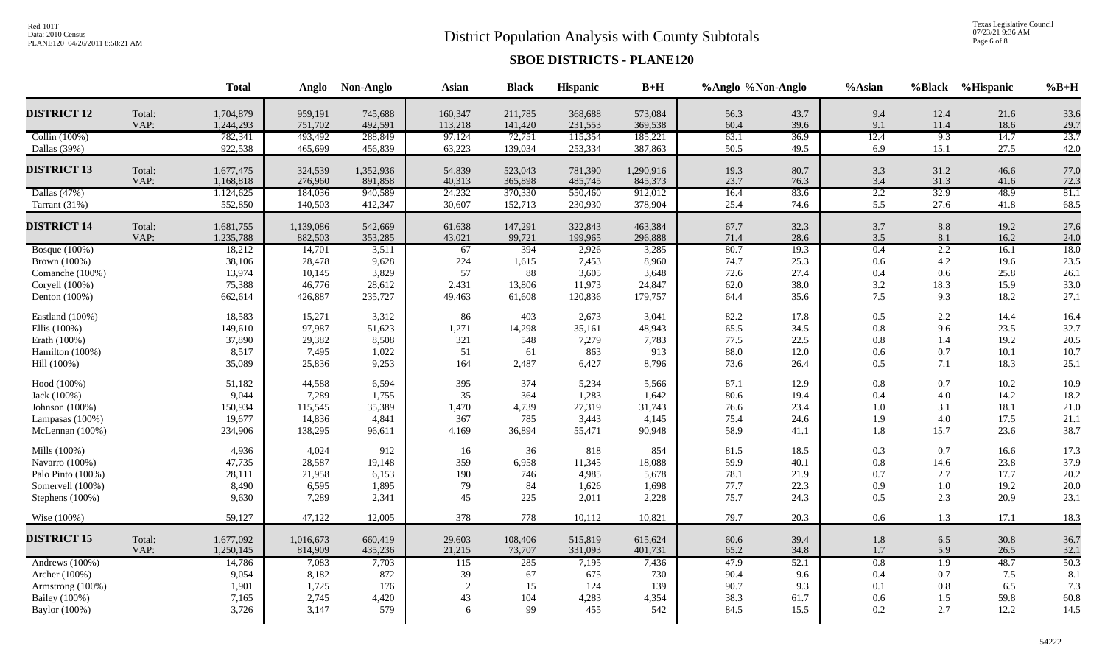# District Population Analysis with County Subtotals

Texas Legislative Council<br>07/23/21 9:36 AM<br>Page 6 of 8

|                      |        | <b>Total</b> | Anglo     | Non-Anglo | <b>Asian</b>     | <b>Black</b> | Hispanic | $B+H$     | %Anglo %Non-Anglo |      | %Asian    |      | %Black %Hispanic | $%B+H$ |
|----------------------|--------|--------------|-----------|-----------|------------------|--------------|----------|-----------|-------------------|------|-----------|------|------------------|--------|
| <b>DISTRICT 12</b>   | Total: | 1,704,879    | 959,191   | 745,688   | 160,347          | 211,785      | 368,688  | 573,084   | 56.3              | 43.7 | 9.4       | 12.4 | 21.6             | 33.6   |
|                      | VAP:   | 1,244,293    | 751,702   | 492,591   | 113,218          | 141,420      | 231,553  | 369,538   | 60.4              | 39.6 | 9.1       | 11.4 | 18.6             | 29.7   |
| Collin (100%)        |        | 782,341      | 493,492   | 288,849   | 97,124           | 72,751       | 115,354  | 185,221   | 63.1              | 36.9 | 12.4      | 9.3  | 14.7             | 23.7   |
| Dallas (39%)         |        | 922,538      | 465,699   | 456,839   | 63,223           | 139,034      | 253,334  | 387,863   | 50.5              | 49.5 | 6.9       | 15.1 | 27.5             | 42.0   |
| <b>DISTRICT 13</b>   | Total: | 1,677,475    | 324,539   | 1,352,936 | 54,839           | 523,043      | 781,390  | 1,290,916 | 19.3              | 80.7 | 3.3       | 31.2 | 46.6             | 77.0   |
|                      | VAP:   | 1,168,818    | 276,960   | 891,858   | 40,313           | 365,898      | 485,745  | 845,373   | 23.7              | 76.3 | 3.4       | 31.3 | 41.6             | 72.3   |
| Dallas (47%)         |        | 1,124,625    | 184,036   | 940,589   | 24,232           | 370,330      | 550,460  | 912,012   | 16.4              | 83.6 | 2.2       | 32.9 | 48.9             | 81.1   |
| Tarrant (31%)        |        | 552,850      | 140,503   | 412,347   | 30,607           | 152,713      | 230,930  | 378,904   | 25.4              | 74.6 | 5.5       | 27.6 | 41.8             | 68.5   |
| <b>DISTRICT 14</b>   | Total: | 1,681,755    | 1,139,086 | 542,669   | 61,638           | 147,291      | 322,843  | 463,384   | 67.7              | 32.3 | 3.7       | 8.8  | 19.2             | 27.6   |
|                      | VAP:   | 1,235,788    | 882,503   | 353,285   | 43,021           | 99,721       | 199,965  | 296,888   | 71.4              | 28.6 | $3.5$     | 8.1  | 16.2             | 24.0   |
| <b>Bosque</b> (100%) |        | 18,212       | 14,701    | 3,511     | 67               | 394          | 2,926    | 3,285     | 80.7              | 19.3 | 0.4       | 2.2  | 16.1             | 18.0   |
| Brown (100%)         |        | 38,106       | 28,478    | 9,628     | 224              | 1,615        | 7,453    | 8,960     | 74.7              | 25.3 | 0.6       | 4.2  | 19.6             | 23.5   |
| Comanche (100%)      |        | 13,974       | 10,145    | 3,829     | 57               | 88           | 3,605    | 3,648     | 72.6              | 27.4 | 0.4       | 0.6  | 25.8             | 26.1   |
| Coryell (100%)       |        | 75,388       | 46,776    | 28,612    | 2,431            | 13,806       | 11,973   | 24,847    | 62.0              | 38.0 | $3.2\,$   | 18.3 | 15.9             | 33.0   |
| Denton (100%)        |        | 662,614      | 426,887   | 235,727   | 49,463           | 61,608       | 120,836  | 179,757   | 64.4              | 35.6 | 7.5       | 9.3  | 18.2             | 27.1   |
| Eastland (100%)      |        | 18,583       | 15,271    | 3,312     | 86               | 403          | 2,673    | 3,041     | 82.2              | 17.8 | 0.5       | 2.2  | 14.4             | 16.4   |
| Ellis (100%)         |        | 149,610      | 97,987    | 51,623    | 1,271            | 14,298       | 35,161   | 48,943    | 65.5              | 34.5 | $0.8\,$   | 9.6  | 23.5             | 32.7   |
| Erath (100%)         |        | 37,890       | 29,382    | 8,508     | 321              | 548          | 7,279    | 7,783     | 77.5              | 22.5 | $0.8\,$   | 1.4  | 19.2             | 20.5   |
| Hamilton (100%)      |        | 8,517        | 7,495     | 1,022     | 51               | 61           | 863      | 913       | 88.0              | 12.0 | $0.6\,$   | 0.7  | 10.1             | 10.7   |
| Hill (100%)          |        | 35,089       | 25,836    | 9,253     | 164              | 2,487        | 6,427    | 8,796     | 73.6              | 26.4 | 0.5       | 7.1  | 18.3             | 25.1   |
| Hood (100%)          |        | 51,182       | 44,588    | 6,594     | 395              | 374          | 5,234    | 5,566     | 87.1              | 12.9 | $0.8\,$   | 0.7  | 10.2             | 10.9   |
| Jack (100%)          |        | 9,044        | 7,289     | 1,755     | 35               | 364          | 1,283    | 1,642     | 80.6              | 19.4 | $0.4\,$   | 4.0  | 14.2             | 18.2   |
| Johnson (100%)       |        | 150,934      | 115,545   | 35,389    | 1,470            | 4,739        | 27,319   | 31,743    | 76.6              | 23.4 | $1.0\,$   | 3.1  | 18.1             | 21.0   |
| Lampasas (100%)      |        | 19,677       | 14,836    | 4,841     | 367              | 785          | 3,443    | 4,145     | 75.4              | 24.6 | 1.9       | 4.0  | 17.5             | 21.1   |
| McLennan (100%)      |        | 234,906      | 138,295   | 96,611    | 4,169            | 36,894       | 55,471   | 90,948    | 58.9              | 41.1 | 1.8       | 15.7 | 23.6             | 38.7   |
| Mills (100%)         |        | 4,936        | 4,024     | 912       | 16               | 36           | 818      | 854       | 81.5              | 18.5 | 0.3       | 0.7  | 16.6             | 17.3   |
| Navarro (100%)       |        | 47,735       | 28,587    | 19,148    | 359              | 6,958        | 11,345   | 18,088    | 59.9              | 40.1 | $\rm 0.8$ | 14.6 | 23.8             | 37.9   |
| Palo Pinto (100%)    |        | 28,111       | 21,958    | 6,153     | 190              | 746          | 4,985    | 5,678     | 78.1              | 21.9 | 0.7       | 2.7  | 17.7             | 20.2   |
| Somervell (100%)     |        | 8,490        | 6,595     | 1,895     | 79               | 84           | 1,626    | 1,698     | 77.7              | 22.3 | 0.9       | 1.0  | 19.2             | 20.0   |
| Stephens (100%)      |        | 9,630        | 7,289     | 2,341     | 45               | 225          | 2,011    | 2,228     | 75.7              | 24.3 | 0.5       | 2.3  | 20.9             | 23.1   |
| Wise (100%)          |        | 59,127       | 47,122    | 12,005    | 378              | 778          | 10,112   | 10,821    | 79.7              | 20.3 | 0.6       | 1.3  | 17.1             | 18.3   |
| <b>DISTRICT 15</b>   | Total: | 1,677,092    | 1,016,673 | 660,419   | 29,603           | 108,406      | 515,819  | 615,624   | 60.6              | 39.4 | 1.8       | 6.5  | 30.8             | 36.7   |
|                      | VAP:   | 1,250,145    | 814,909   | 435,236   | 21,215           | 73,707       | 331,093  | 401,731   | 65.2              | 34.8 | 1.7       | 5.9  | 26.5             | 32.1   |
| Andrews (100%)       |        | 14,786       | 7,083     | 7,703     | $\overline{115}$ | 285          | 7,195    | 7,436     | 47.9              | 52.1 | 0.8       | 1.9  | 48.7             | 50.3   |
| Archer (100%)        |        | 9,054        | 8,182     | 872       | 39               | 67           | 675      | 730       | 90.4              | 9.6  | 0.4       | 0.7  | 7.5              | 8.1    |
| Armstrong (100%)     |        | 1,901        | 1,725     | 176       | 2                | 15           | 124      | 139       | 90.7              | 9.3  | 0.1       | 0.8  | 6.5              | 7.3    |
| <b>Bailey</b> (100%) |        | 7,165        | 2,745     | 4,420     | 43               | 104          | 4,283    | 4,354     | 38.3              | 61.7 | 0.6       | 1.5  | 59.8             | 60.8   |
| Baylor (100%)        |        | 3,726        | 3,147     | 579       | 6                | 99           | 455      | 542       | 84.5              | 15.5 | 0.2       | 2.7  | 12.2             | 14.5   |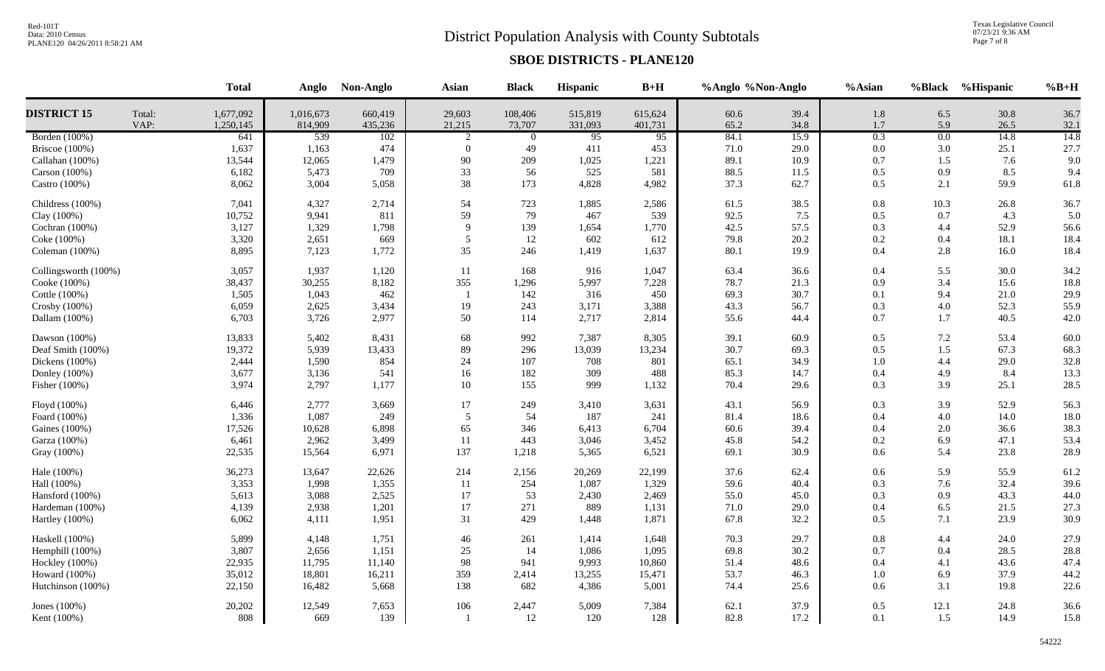# District Population Analysis with County Subtotals

Texas Legislative Council<br>07/23/21 9:36 AM<br>Page 7 of 8

|                       |                | <b>Total</b>           | Anglo                | Non-Anglo          | <b>Asian</b>     | <b>Black</b>      | Hispanic           | $B+H$              | %Anglo %Non-Anglo |              | %Asian         |                  | %Black %Hispanic | $%B+H$       |
|-----------------------|----------------|------------------------|----------------------|--------------------|------------------|-------------------|--------------------|--------------------|-------------------|--------------|----------------|------------------|------------------|--------------|
| <b>DISTRICT 15</b>    | Total:<br>VAP: | 1,677,092<br>1,250,145 | 1,016,673<br>814,909 | 660,419<br>435,236 | 29,603<br>21,215 | 108,406<br>73,707 | 515,819<br>331,093 | 615,624<br>401,731 | 60.6<br>65.2      | 39.4<br>34.8 | $1.8\,$<br>1.7 | 6.5<br>5.9       | 30.8<br>26.5     | 36.7<br>32.1 |
| Borden (100%)         |                | 641                    | 539                  | 102                | 2                | $\overline{0}$    | $\overline{95}$    | $\overline{95}$    | 84.1              | 15.9         | 0.3            | $\overline{0.0}$ | 14.8             | 14.8         |
| <b>Briscoe</b> (100%) |                | 1,637                  | 1,163                | 474                | $\mathbf{0}$     | 49                | 411                | 453                | 71.0              | 29.0         | 0.0            | 3.0              | 25.1             | 27.7         |
| Callahan (100%)       |                | 13,544                 | 12,065               | 1,479              | 90               | 209               | 1,025              | 1,221              | 89.1              | 10.9         | 0.7            | 1.5              | 7.6              | 9.0          |
| Carson (100%)         |                | 6,182                  | 5,473                | 709                | 33               | 56                | 525                | 581                | 88.5              | 11.5         | 0.5            | 0.9              | 8.5              | 9.4          |
| Castro (100%)         |                | 8,062                  | 3,004                | 5,058              | 38               | 173               | 4,828              | 4,982              | 37.3              | 62.7         | 0.5            | 2.1              | 59.9             | 61.8         |
| Childress (100%)      |                | 7,041                  | 4,327                | 2,714              | 54               | 723               | 1,885              | 2,586              | 61.5              | 38.5         | 0.8            | 10.3             | 26.8             | 36.7         |
| Clay (100%)           |                | 10,752                 | 9,941                | 811                | 59               | 79                | 467                | 539                | 92.5              | 7.5          | 0.5            | 0.7              | 4.3              | 5.0          |
| Cochran (100%)        |                | 3,127                  | 1,329                | 1,798              | 9                | 139               | 1,654              | 1,770              | 42.5              | 57.5         | 0.3            | 4.4              | 52.9             | 56.6         |
| Coke (100%)           |                | 3,320                  | 2,651                | 669                | 5                | 12                | 602                | 612                | 79.8              | 20.2         | 0.2            | 0.4              | 18.1             | 18.4         |
| Coleman (100%)        |                | 8,895                  | 7,123                | 1,772              | 35               | 246               | 1,419              | 1,637              | 80.1              | 19.9         | 0.4            | 2.8              | 16.0             | 18.4         |
| Collingsworth (100%)  |                | 3,057                  | 1,937                | 1,120              | 11               | 168               | 916                | 1,047              | 63.4              | 36.6         | 0.4            | 5.5              | 30.0             | 34.2         |
| Cooke (100%)          |                | 38,437                 | 30,255               | 8,182              | 355              | 1,296             | 5,997              | 7,228              | 78.7              | 21.3         | 0.9            | 3.4              | 15.6             | 18.8         |
| Cottle (100%)         |                | 1,505                  | 1,043                | 462                | $\overline{1}$   | 142               | 316                | 450                | 69.3              | 30.7         | 0.1            | 9.4              | 21.0             | 29.9         |
| Crosby (100%)         |                | 6,059                  | 2,625                | 3,434              | 19               | 243               | 3,171              | 3,388              | 43.3              | 56.7         | 0.3            | 4.0              | 52.3             | 55.9         |
| Dallam (100%)         |                | 6,703                  | 3,726                | 2,977              | 50               | 114               | 2,717              | 2,814              | 55.6              | 44.4         | 0.7            | 1.7              | 40.5             | 42.0         |
| Dawson (100%)         |                | 13,833                 | 5,402                | 8,431              | 68               | 992               | 7,387              | 8,305              | 39.1              | 60.9         | 0.5            | 7.2              | 53.4             | 60.0         |
| Deaf Smith (100%)     |                | 19,372                 | 5,939                | 13,433             | 89               | 296               | 13,039             | 13,234             | 30.7              | 69.3         | 0.5            | 1.5              | 67.3             | 68.3         |
| Dickens (100%)        |                | 2,444                  | 1,590                | 854                | 24               | 107               | 708                | 801                | 65.1              | 34.9         | 1.0            | 4.4              | 29.0             | 32.8         |
| Donley (100%)         |                | 3,677                  | 3,136                | 541                | 16               | 182               | 309                | 488                | 85.3              | 14.7         | 0.4            | 4.9              | 8.4              | 13.3         |
| Fisher (100%)         |                | 3,974                  | 2,797                | 1,177              | 10               | 155               | 999                | 1,132              | 70.4              | 29.6         | 0.3            | 3.9              | 25.1             | 28.5         |
| Floyd (100%)          |                | 6,446                  | 2,777                | 3,669              | 17               | 249               | 3,410              | 3,631              | 43.1              | 56.9         | 0.3            | 3.9              | 52.9             | 56.3         |
| Foard (100%)          |                | 1,336                  | 1,087                | 249                | 5                | 54                | 187                | 241                | 81.4              | 18.6         | 0.4            | 4.0              | 14.0             | 18.0         |
| Gaines (100%)         |                | 17,526                 | 10,628               | 6,898              | 65               | 346               | 6,413              | 6,704              | 60.6              | 39.4         | 0.4            | 2.0              | 36.6             | 38.3         |
| Garza (100%)          |                | 6,461                  | 2,962                | 3,499              | 11               | 443               | 3,046              | 3,452              | 45.8              | 54.2         | 0.2            | 6.9              | 47.1             | 53.4         |
| Gray (100%)           |                | 22,535                 | 15,564               | 6,971              | 137              | 1,218             | 5,365              | 6,521              | 69.1              | 30.9         | 0.6            | 5.4              | 23.8             | 28.9         |
| Hale (100%)           |                | 36,273                 | 13,647               | 22,626             | 214              | 2,156             | 20,269             | 22,199             | 37.6              | 62.4         | 0.6            | 5.9              | 55.9             | 61.2         |
| Hall (100%)           |                | 3,353                  | 1,998                | 1,355              | 11               | 254               | 1,087              | 1,329              | 59.6              | 40.4         | 0.3            | 7.6              | 32.4             | 39.6         |
| Hansford (100%)       |                | 5,613                  | 3,088                | 2,525              | 17               | 53                | 2,430              | 2,469              | 55.0              | 45.0         | 0.3            | 0.9              | 43.3             | 44.0         |
| Hardeman (100%)       |                | 4,139                  | 2,938                | 1,201              | 17               | 271               | 889                | 1,131              | 71.0              | 29.0         | 0.4            | 6.5              | 21.5             | 27.3         |
| Hartley (100%)        |                | 6,062                  | 4,111                | 1,951              | 31               | 429               | 1,448              | 1,871              | 67.8              | 32.2         | 0.5            | 7.1              | 23.9             | 30.9         |
| Haskell (100%)        |                | 5,899                  | 4,148                | 1,751              | 46               | 261               | 1,414              | 1,648              | 70.3              | 29.7         | 0.8            | 4.4              | 24.0             | 27.9         |
| Hemphill (100%)       |                | 3,807                  | 2,656                | 1,151              | 25               | 14                | 1,086              | 1,095              | 69.8              | 30.2         | 0.7            | 0.4              | 28.5             | 28.8         |
| Hockley (100%)        |                | 22,935                 | 11,795               | 11,140             | 98               | 941               | 9,993              | 10,860             | 51.4              | 48.6         | 0.4            | 4.1              | 43.6             | 47.4         |
| Howard (100%)         |                | 35,012                 | 18,801               | 16,211             | 359              | 2,414             | 13,255             | 15,471             | 53.7              | 46.3         | 1.0            | 6.9              | 37.9             | 44.2         |
| Hutchinson (100%)     |                | 22,150                 | 16,482               | 5,668              | 138              | 682               | 4,386              | 5,001              | 74.4              | 25.6         | 0.6            | 3.1              | 19.8             | 22.6         |
| Jones $(100\%)$       |                | 20,202                 | 12,549               | 7,653              | 106              | 2,447             | 5,009              | 7,384              | 62.1              | 37.9         | 0.5            | 12.1             | 24.8             | 36.6         |
| Kent (100%)           |                | 808                    | 669                  | 139                | $\overline{1}$   | 12                | 120                | 128                | 82.8              | 17.2         | 0.1            | 1.5              | 14.9             | 15.8         |